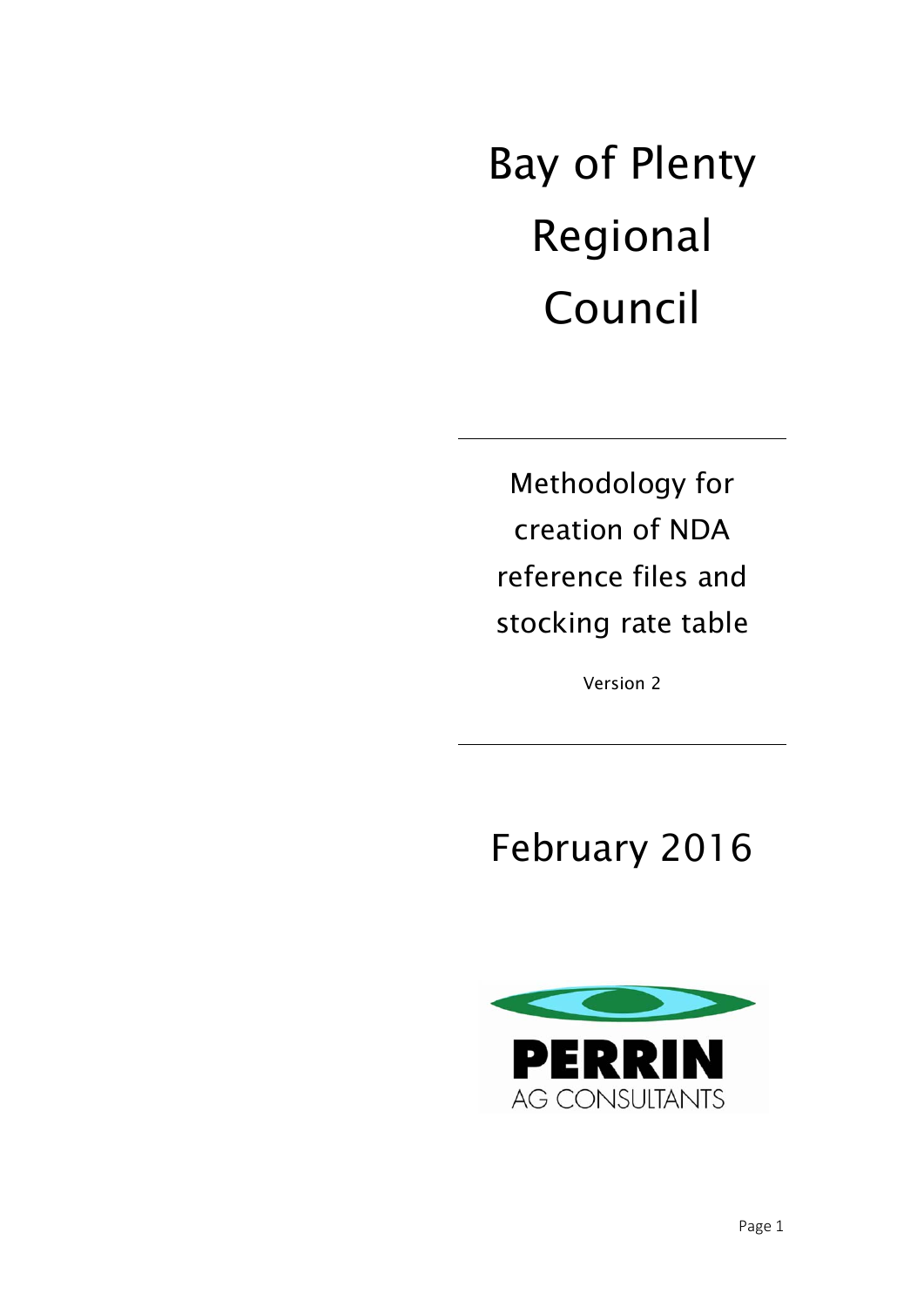Bay of Plenty Regional Council

Methodology for creation of NDA reference files and stocking rate table

Version 2

# February 2016

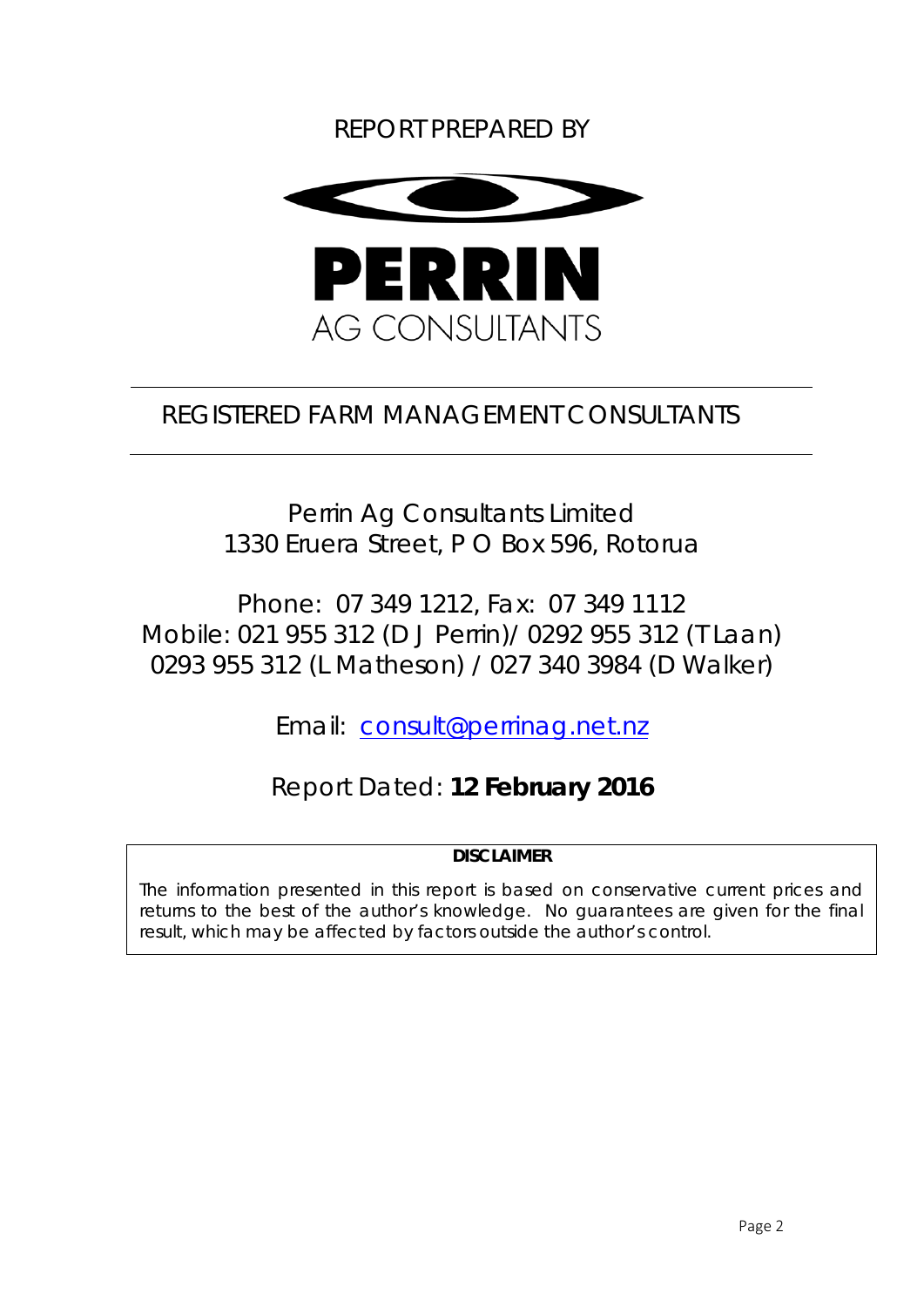# REPORT PREPARED BY



# REGISTERED FARM MANAGEMENT CONSULTANTS

Perrin Ag Consultants Limited 1330 Eruera Street, P O Box 596, Rotorua

Phone: 07 349 1212, Fax: 07 349 1112 Mobile: 021 955 312 (D J Perrin)/ 0292 955 312 (T Laan) 0293 955 312 (L Matheson) / 027 340 3984 (D Walker)

Email: consult@perrinag.net.nz

Report Dated: **12 February 2016** 

*DISCLAIMER* 

*The information presented in this report is based on conservative current prices and*  returns to the best of the author's knowledge. No guarantees are given for the final *result, which may be affected by factors outside the author's control.*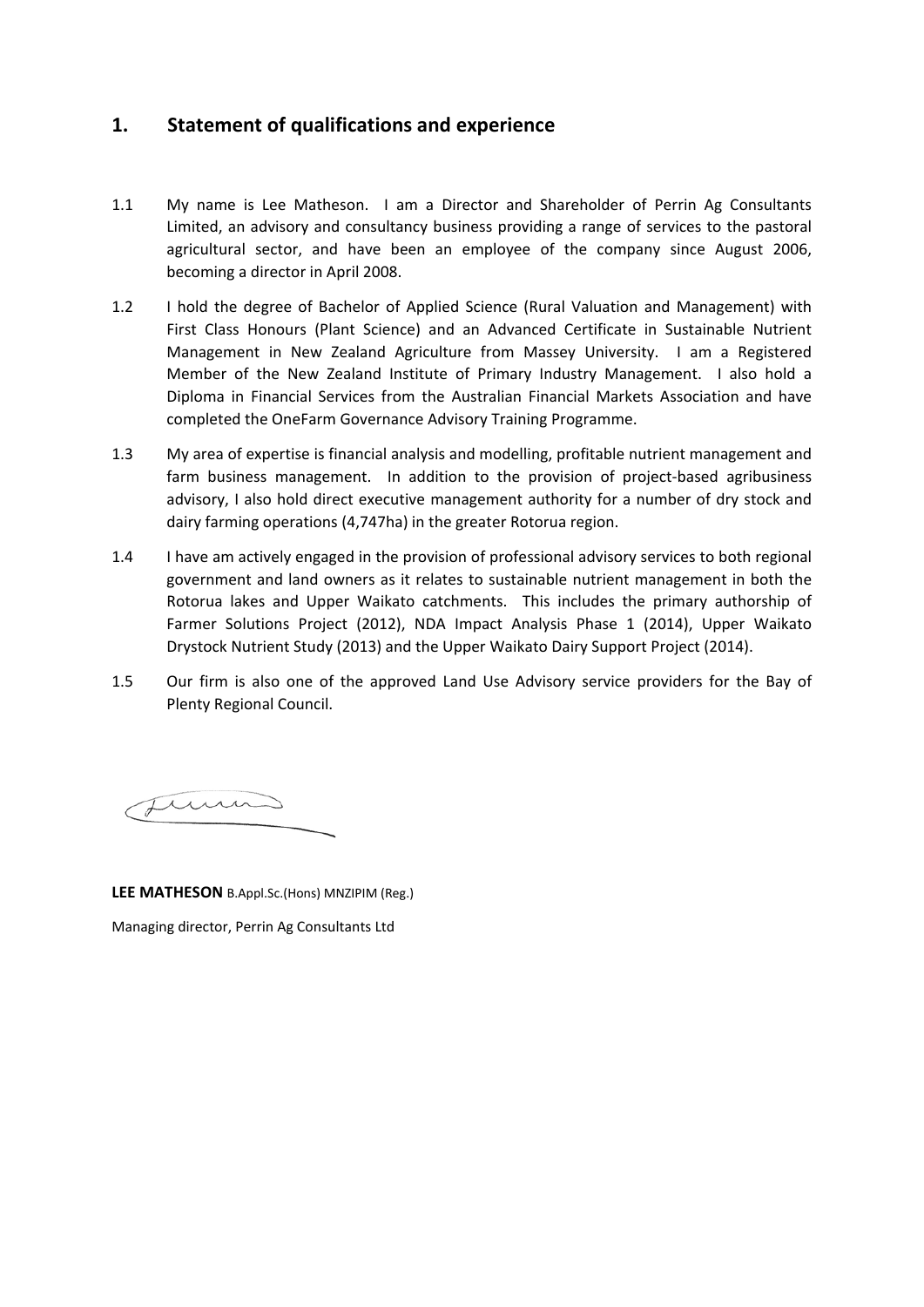### **1. Statement of qualifications and experience**

- 1.1 My name is Lee Matheson. I am a Director and Shareholder of Perrin Ag Consultants Limited, an advisory and consultancy business providing a range of services to the pastoral agricultural sector, and have been an employee of the company since August 2006, becoming a director in April 2008.
- 1.2 I hold the degree of Bachelor of Applied Science (Rural Valuation and Management) with First Class Honours (Plant Science) and an Advanced Certificate in Sustainable Nutrient Management in New Zealand Agriculture from Massey University. I am a Registered Member of the New Zealand Institute of Primary Industry Management. I also hold a Diploma in Financial Services from the Australian Financial Markets Association and have completed the OneFarm Governance Advisory Training Programme.
- 1.3 My area of expertise is financial analysis and modelling, profitable nutrient management and farm business management. In addition to the provision of project-based agribusiness advisory, I also hold direct executive management authority for a number of dry stock and dairy farming operations (4,747ha) in the greater Rotorua region.
- 1.4 I have am actively engaged in the provision of professional advisory services to both regional government and land owners as it relates to sustainable nutrient management in both the Rotorua lakes and Upper Waikato catchments. This includes the primary authorship of Farmer Solutions Project (2012), NDA Impact Analysis Phase 1 (2014), Upper Waikato Drystock Nutrient Study (2013) and the Upper Waikato Dairy Support Project (2014).
- 1.5 Our firm is also one of the approved Land Use Advisory service providers for the Bay of Plenty Regional Council.

Jums

**LEE MATHESON** B.Appl.Sc.(Hons) MNZIPIM (Reg.) Managing director, Perrin Ag Consultants Ltd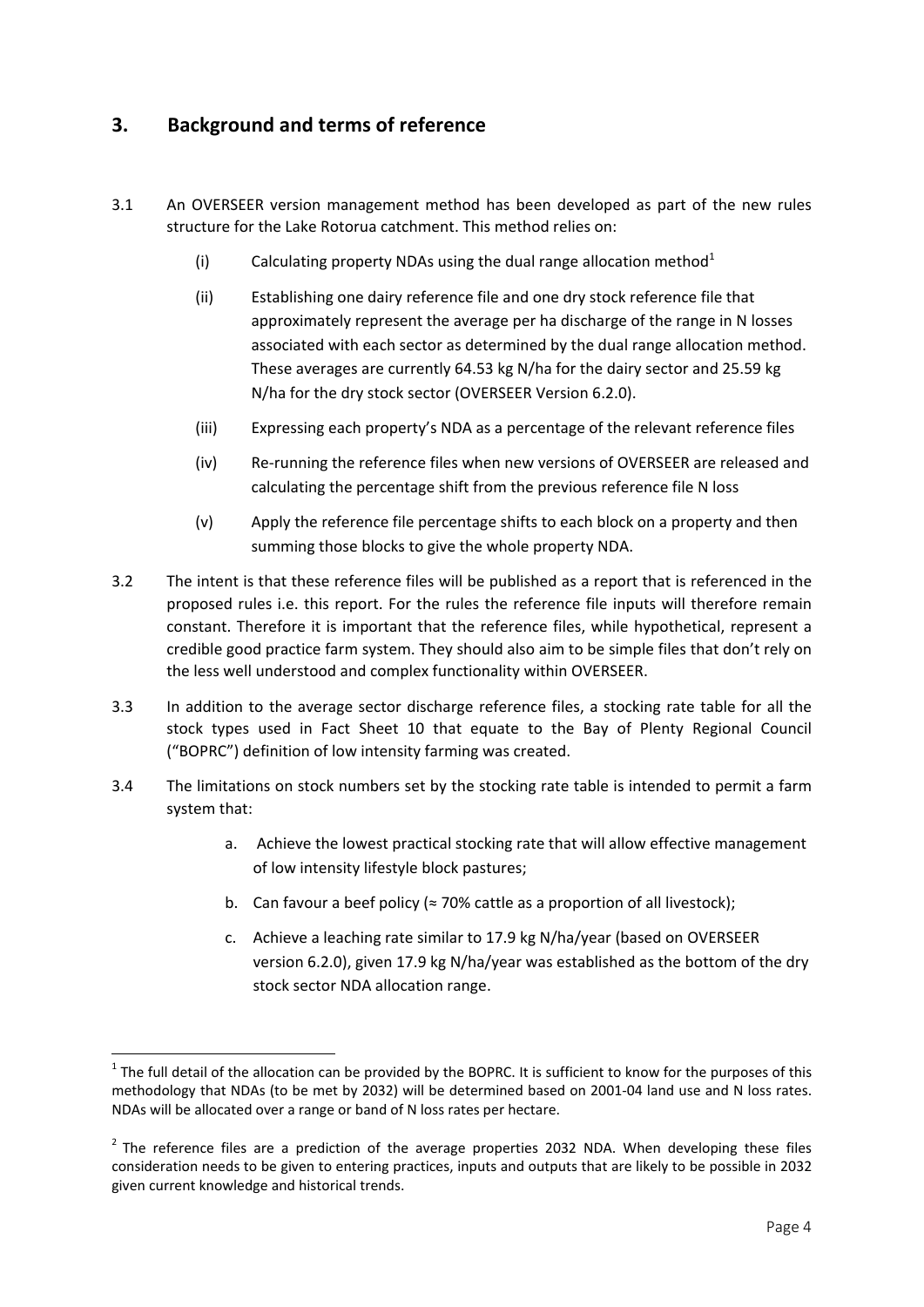# **3. Background and terms of reference**

- 3.1 An OVERSEER version management method has been developed as part of the new rules structure for the Lake Rotorua catchment. This method relies on:
	- (i) Calculating property NDAs using the dual range allocation method<sup>1</sup>
	- (ii) Establishing one dairy reference file and one dry stock reference file that approximately represent the average per ha discharge of the range in N losses associated with each sector as determined by the dual range allocation method. These averages are currently 64.53 kg N/ha for the dairy sector and 25.59 kg N/ha for the dry stock sector (OVERSEER Version 6.2.0).
	- (iii) Expressing each property's NDA as a percentage of the relevant reference files
	- (iv) Re‐running the reference files when new versions of OVERSEER are released and calculating the percentage shift from the previous reference file N loss
	- (v) Apply the reference file percentage shifts to each block on a property and then summing those blocks to give the whole property NDA.
- 3.2 The intent is that these reference files will be published as a report that is referenced in the proposed rules i.e. this report. For the rules the reference file inputs will therefore remain constant. Therefore it is important that the reference files, while hypothetical, represent a credible good practice farm system. They should also aim to be simple files that don't rely on the less well understood and complex functionality within OVERSEER.
- 3.3 In addition to the average sector discharge reference files, a stocking rate table for all the stock types used in Fact Sheet 10 that equate to the Bay of Plenty Regional Council ("BOPRC") definition of low intensity farming was created.
- 3.4 The limitations on stock numbers set by the stocking rate table is intended to permit a farm system that:
	- a. Achieve the lowest practical stocking rate that will allow effective management of low intensity lifestyle block pastures;
	- b. Can favour a beef policy ( $\approx$  70% cattle as a proportion of all livestock);
	- c. Achieve a leaching rate similar to 17.9 kg N/ha/year (based on OVERSEER version 6.2.0), given 17.9 kg N/ha/year was established as the bottom of the dry stock sector NDA allocation range.

 $1$  The full detail of the allocation can be provided by the BOPRC. It is sufficient to know for the purposes of this methodology that NDAs (to be met by 2032) will be determined based on 2001‐04 land use and N loss rates. NDAs will be allocated over a range or band of N loss rates per hectare.

 $2$  The reference files are a prediction of the average properties 2032 NDA. When developing these files consideration needs to be given to entering practices, inputs and outputs that are likely to be possible in 2032 given current knowledge and historical trends.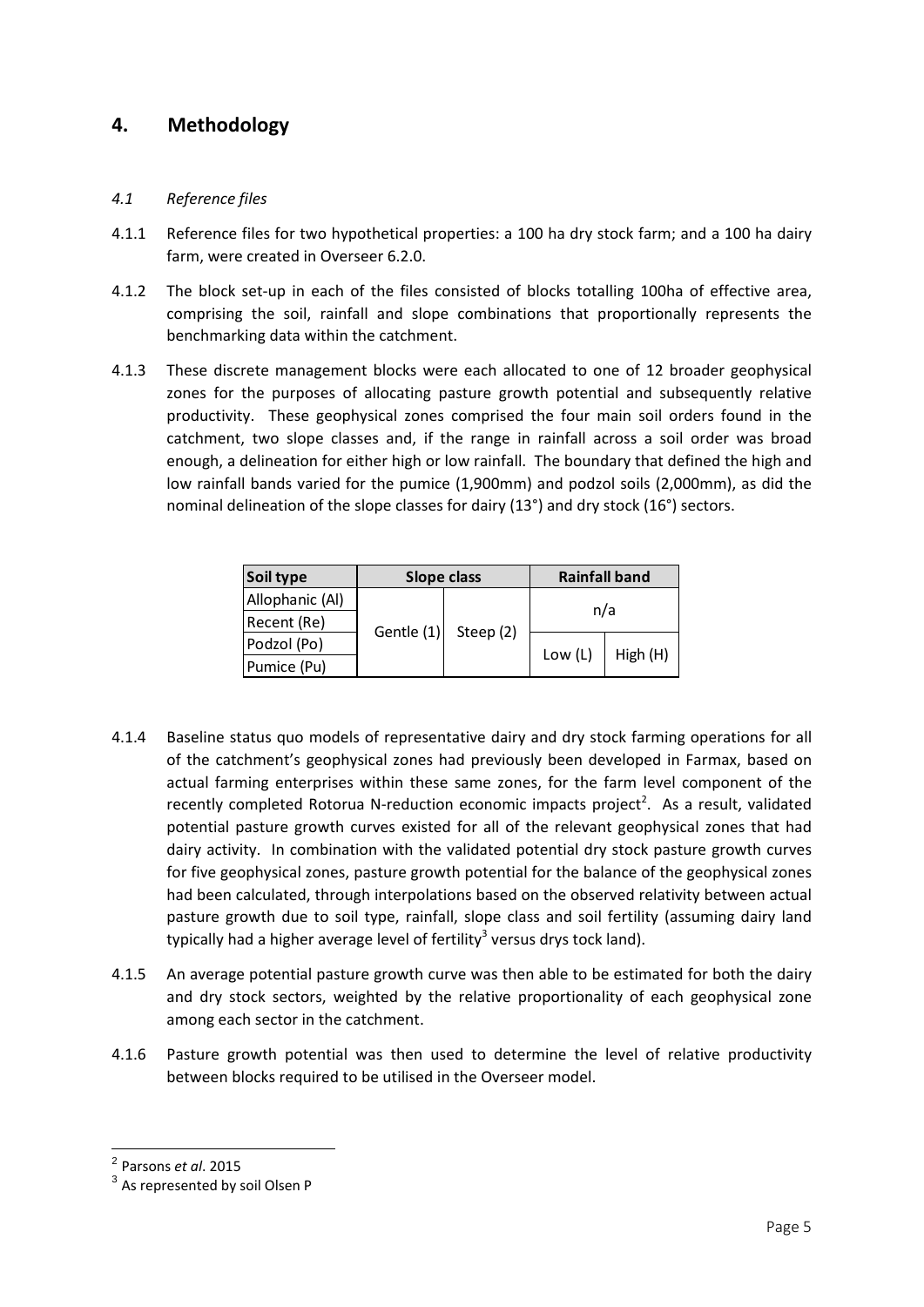### **4. Methodology**

#### *4.1 Reference files*

- 4.1.1 Reference files for two hypothetical properties: a 100 ha dry stock farm; and a 100 ha dairy farm, were created in Overseer 6.2.0.
- 4.1.2 The block set-up in each of the files consisted of blocks totalling 100ha of effective area, comprising the soil, rainfall and slope combinations that proportionally represents the benchmarking data within the catchment.
- 4.1.3 These discrete management blocks were each allocated to one of 12 broader geophysical zones for the purposes of allocating pasture growth potential and subsequently relative productivity. These geophysical zones comprised the four main soil orders found in the catchment, two slope classes and, if the range in rainfall across a soil order was broad enough, a delineation for either high or low rainfall. The boundary that defined the high and low rainfall bands varied for the pumice (1,900mm) and podzol soils (2,000mm), as did the nominal delineation of the slope classes for dairy (13°) and dry stock (16°) sectors.

| Soil type       | <b>Slope class</b> |           | <b>Rainfall band</b> |          |  |
|-----------------|--------------------|-----------|----------------------|----------|--|
| Allophanic (Al) |                    |           |                      |          |  |
| Recent (Re)     |                    |           |                      | n/a      |  |
| Podzol (Po)     | Gentle (1)         | Steep (2) | Low (L)              | High (H) |  |
| Pumice (Pu)     |                    |           |                      |          |  |

- 4.1.4 Baseline status quo models of representative dairy and dry stock farming operations for all of the catchment's geophysical zones had previously been developed in Farmax, based on actual farming enterprises within these same zones, for the farm level component of the recently completed Rotorua N-reduction economic impacts project<sup>2</sup>. As a result, validated potential pasture growth curves existed for all of the relevant geophysical zones that had dairy activity. In combination with the validated potential dry stock pasture growth curves for five geophysical zones, pasture growth potential for the balance of the geophysical zones had been calculated, through interpolations based on the observed relativity between actual pasture growth due to soil type, rainfall, slope class and soil fertility (assuming dairy land typically had a higher average level of fertility<sup>3</sup> versus drys tock land).
- 4.1.5 An average potential pasture growth curve was then able to be estimated for both the dairy and dry stock sectors, weighted by the relative proportionality of each geophysical zone among each sector in the catchment.
- 4.1.6 Pasture growth potential was then used to determine the level of relative productivity between blocks required to be utilised in the Overseer model.

<sup>2</sup> Parsons *et al*. 2015

<sup>&</sup>lt;sup>3</sup> As represented by soil Olsen P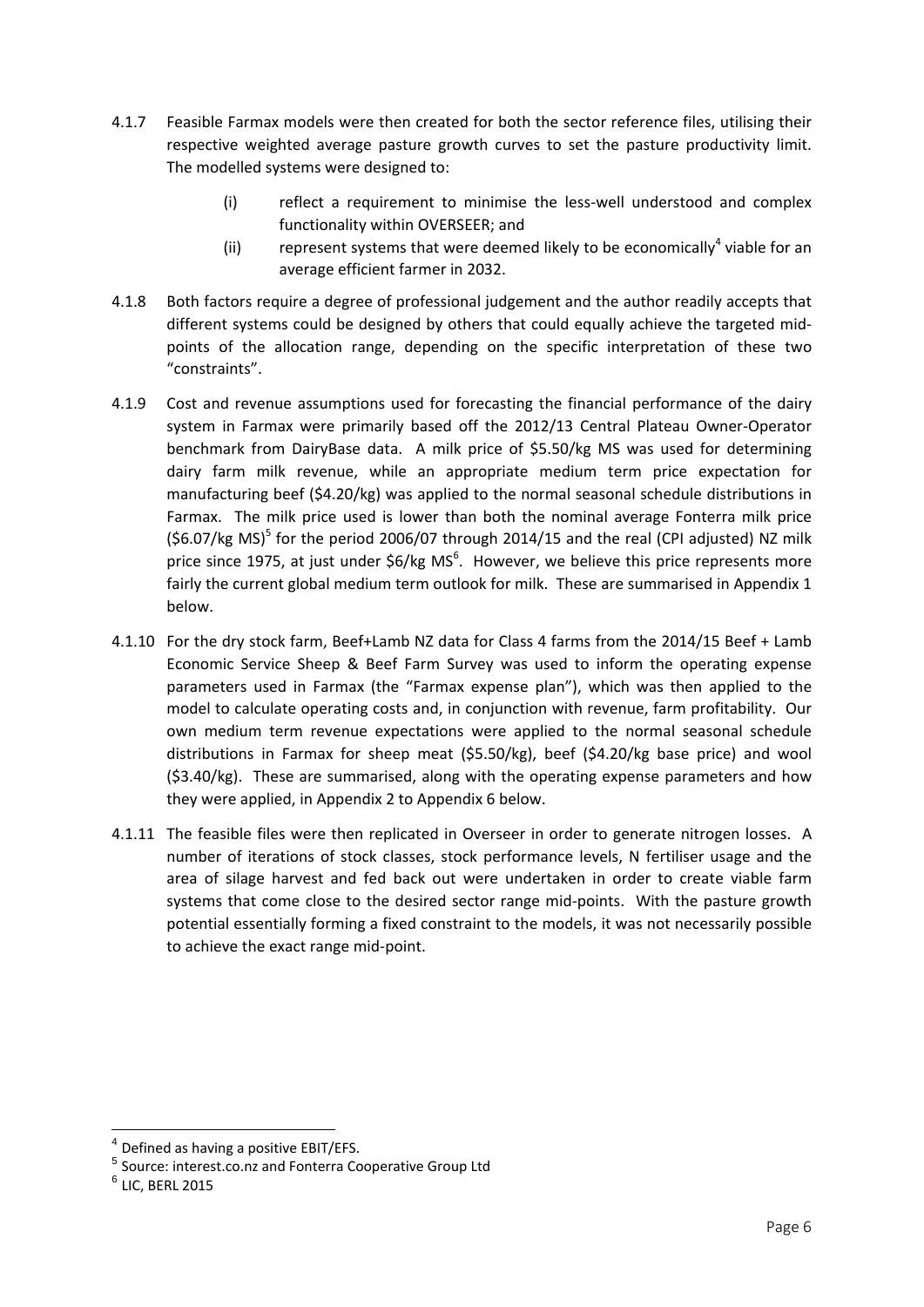- 4.1.7 Feasible Farmax models were then created for both the sector reference files, utilising their respective weighted average pasture growth curves to set the pasture productivity limit. The modelled systems were designed to:
	- (i) reflect a requirement to minimise the less-well understood and complex functionality within OVERSEER; and
	- (ii) represent systems that were deemed likely to be economically<sup>4</sup> viable for an average efficient farmer in 2032.
- 4.1.8 Both factors require a degree of professional judgement and the author readily accepts that different systems could be designed by others that could equally achieve the targeted mid‐ points of the allocation range, depending on the specific interpretation of these two "constraints".
- 4.1.9 Cost and revenue assumptions used for forecasting the financial performance of the dairy system in Farmax were primarily based off the 2012/13 Central Plateau Owner‐Operator benchmark from DairyBase data. A milk price of \$5.50/kg MS was used for determining dairy farm milk revenue, while an appropriate medium term price expectation for manufacturing beef (\$4.20/kg) was applied to the normal seasonal schedule distributions in Farmax. The milk price used is lower than both the nominal average Fonterra milk price (\$6.07/kg MS)<sup>5</sup> for the period 2006/07 through 2014/15 and the real (CPI adjusted) NZ milk price since 1975, at just under \$6/kg MS<sup>6</sup>. However, we believe this price represents more fairly the current global medium term outlook for milk. These are summarised in Appendix 1 below.
- 4.1.10 For the dry stock farm, Beef+Lamb NZ data for Class 4 farms from the 2014/15 Beef + Lamb Economic Service Sheep & Beef Farm Survey was used to inform the operating expense parameters used in Farmax (the "Farmax expense plan"), which was then applied to the model to calculate operating costs and, in conjunction with revenue, farm profitability. Our own medium term revenue expectations were applied to the normal seasonal schedule distributions in Farmax for sheep meat (\$5.50/kg), beef (\$4.20/kg base price) and wool (\$3.40/kg). These are summarised, along with the operating expense parameters and how they were applied, in Appendix 2 to Appendix 6 below.
- 4.1.11 The feasible files were then replicated in Overseer in order to generate nitrogen losses. A number of iterations of stock classes, stock performance levels, N fertiliser usage and the area of silage harvest and fed back out were undertaken in order to create viable farm systems that come close to the desired sector range mid‐points. With the pasture growth potential essentially forming a fixed constraint to the models, it was not necessarily possible to achieve the exact range mid‐point.

 Defined as having a positive EBIT/EFS.

<sup>5</sup> Source: interest.co.nz and Fonterra Cooperative Group Ltd

 $6$  LIC, BERL 2015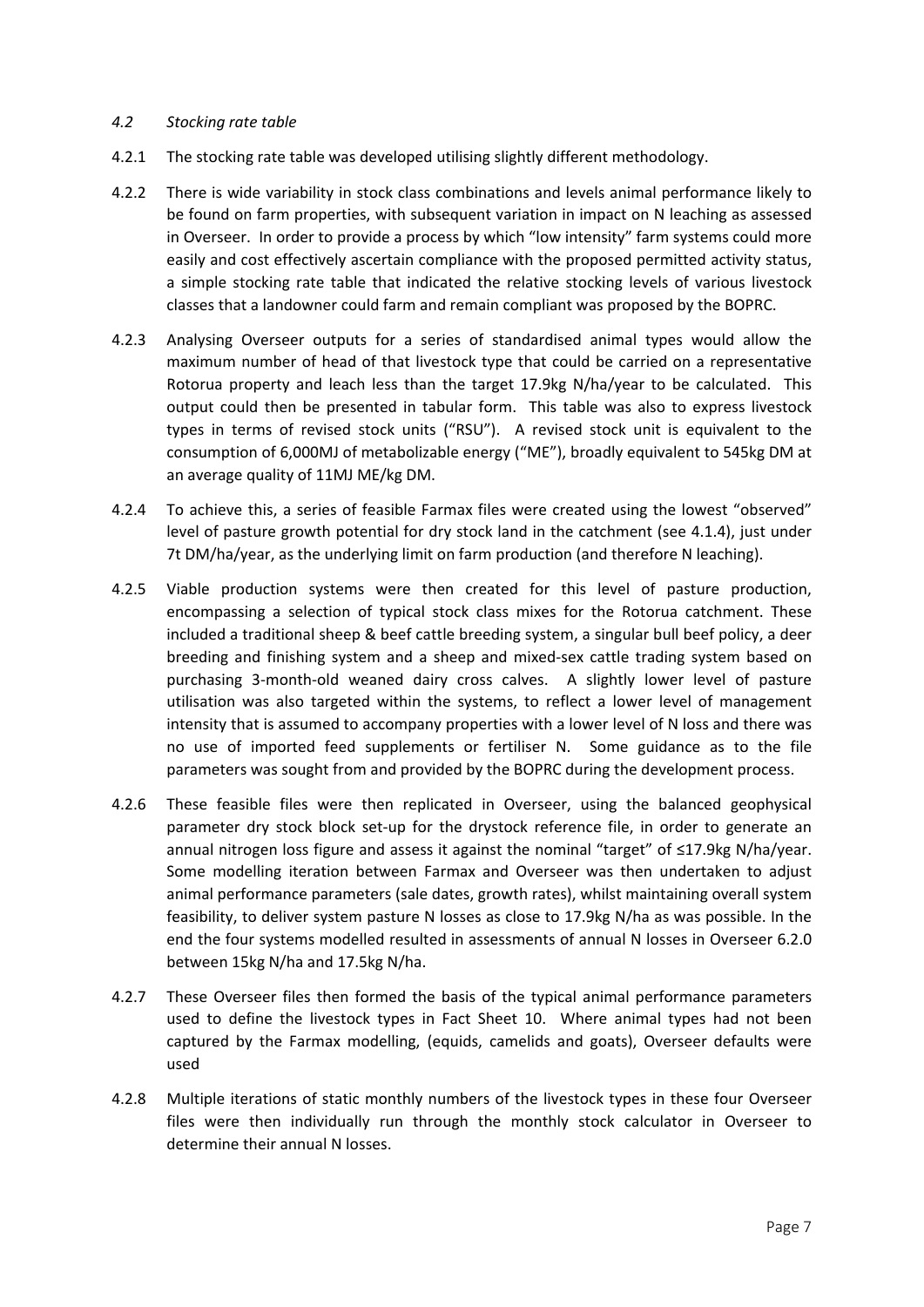#### *4.2 Stocking rate table*

- 4.2.1 The stocking rate table was developed utilising slightly different methodology.
- 4.2.2 There is wide variability in stock class combinations and levels animal performance likely to be found on farm properties, with subsequent variation in impact on N leaching as assessed in Overseer. In order to provide a process by which "low intensity" farm systems could more easily and cost effectively ascertain compliance with the proposed permitted activity status, a simple stocking rate table that indicated the relative stocking levels of various livestock classes that a landowner could farm and remain compliant was proposed by the BOPRC.
- 4.2.3 Analysing Overseer outputs for a series of standardised animal types would allow the maximum number of head of that livestock type that could be carried on a representative Rotorua property and leach less than the target 17.9kg N/ha/year to be calculated. This output could then be presented in tabular form. This table was also to express livestock types in terms of revised stock units ("RSU"). A revised stock unit is equivalent to the consumption of 6,000MJ of metabolizable energy ("ME"), broadly equivalent to 545kg DM at an average quality of 11MJ ME/kg DM.
- 4.2.4 To achieve this, a series of feasible Farmax files were created using the lowest "observed" level of pasture growth potential for dry stock land in the catchment (see 4.1.4), just under 7t DM/ha/year, as the underlying limit on farm production (and therefore N leaching).
- 4.2.5 Viable production systems were then created for this level of pasture production, encompassing a selection of typical stock class mixes for the Rotorua catchment. These included a traditional sheep & beef cattle breeding system, a singular bull beef policy, a deer breeding and finishing system and a sheep and mixed‐sex cattle trading system based on purchasing 3‐month‐old weaned dairy cross calves. A slightly lower level of pasture utilisation was also targeted within the systems, to reflect a lower level of management intensity that is assumed to accompany properties with a lower level of N loss and there was no use of imported feed supplements or fertiliser N. Some guidance as to the file parameters was sought from and provided by the BOPRC during the development process.
- 4.2.6 These feasible files were then replicated in Overseer, using the balanced geophysical parameter dry stock block set‐up for the drystock reference file, in order to generate an annual nitrogen loss figure and assess it against the nominal "target" of ≤17.9kg N/ha/year. Some modelling iteration between Farmax and Overseer was then undertaken to adjust animal performance parameters (sale dates, growth rates), whilst maintaining overall system feasibility, to deliver system pasture N losses as close to 17.9kg N/ha as was possible. In the end the four systems modelled resulted in assessments of annual N losses in Overseer 6.2.0 between 15kg N/ha and 17.5kg N/ha.
- 4.2.7 These Overseer files then formed the basis of the typical animal performance parameters used to define the livestock types in Fact Sheet 10. Where animal types had not been captured by the Farmax modelling, (equids, camelids and goats), Overseer defaults were used
- 4.2.8 Multiple iterations of static monthly numbers of the livestock types in these four Overseer files were then individually run through the monthly stock calculator in Overseer to determine their annual N losses.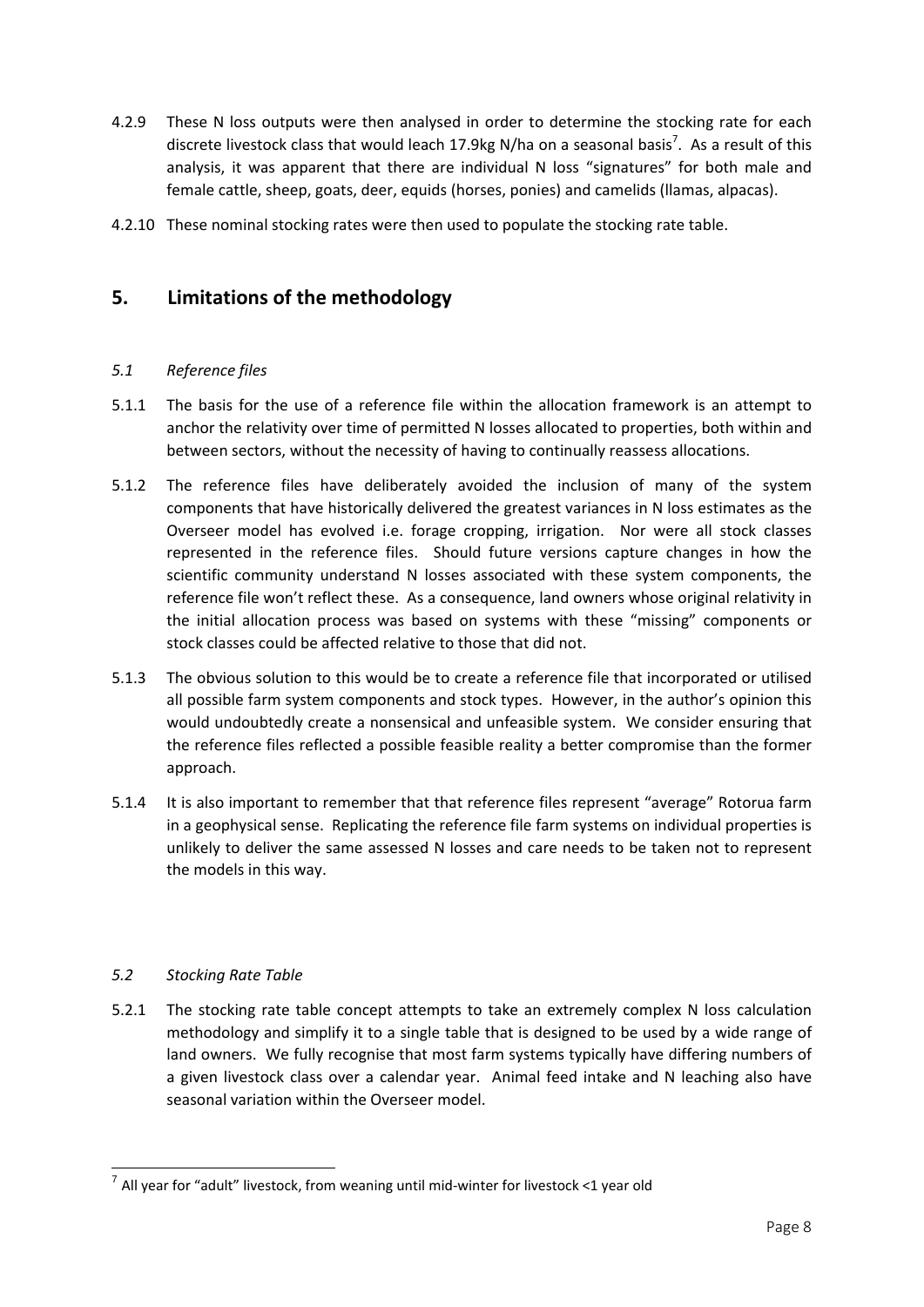- 4.2.9 These N loss outputs were then analysed in order to determine the stocking rate for each discrete livestock class that would leach 17.9kg N/ha on a seasonal basis<sup>7</sup>. As a result of this analysis, it was apparent that there are individual N loss "signatures" for both male and female cattle, sheep, goats, deer, equids (horses, ponies) and camelids (llamas, alpacas).
- 4.2.10 These nominal stocking rates were then used to populate the stocking rate table.

# **5. Limitations of the methodology**

#### *5.1 Reference files*

- 5.1.1 The basis for the use of a reference file within the allocation framework is an attempt to anchor the relativity over time of permitted N losses allocated to properties, both within and between sectors, without the necessity of having to continually reassess allocations.
- 5.1.2 The reference files have deliberately avoided the inclusion of many of the system components that have historically delivered the greatest variances in N loss estimates as the Overseer model has evolved i.e. forage cropping, irrigation. Nor were all stock classes represented in the reference files. Should future versions capture changes in how the scientific community understand N losses associated with these system components, the reference file won't reflect these. As a consequence, land owners whose original relativity in the initial allocation process was based on systems with these "missing" components or stock classes could be affected relative to those that did not.
- 5.1.3 The obvious solution to this would be to create a reference file that incorporated or utilised all possible farm system components and stock types. However, in the author's opinion this would undoubtedly create a nonsensical and unfeasible system. We consider ensuring that the reference files reflected a possible feasible reality a better compromise than the former approach.
- 5.1.4 It is also important to remember that that reference files represent "average" Rotorua farm in a geophysical sense. Replicating the reference file farm systems on individual properties is unlikely to deliver the same assessed N losses and care needs to be taken not to represent the models in this way.

#### *5.2 Stocking Rate Table*

5.2.1 The stocking rate table concept attempts to take an extremely complex N loss calculation methodology and simplify it to a single table that is designed to be used by a wide range of land owners. We fully recognise that most farm systems typically have differing numbers of a given livestock class over a calendar year. Animal feed intake and N leaching also have seasonal variation within the Overseer model.

  $7$  All year for "adult" livestock, from weaning until mid-winter for livestock <1 year old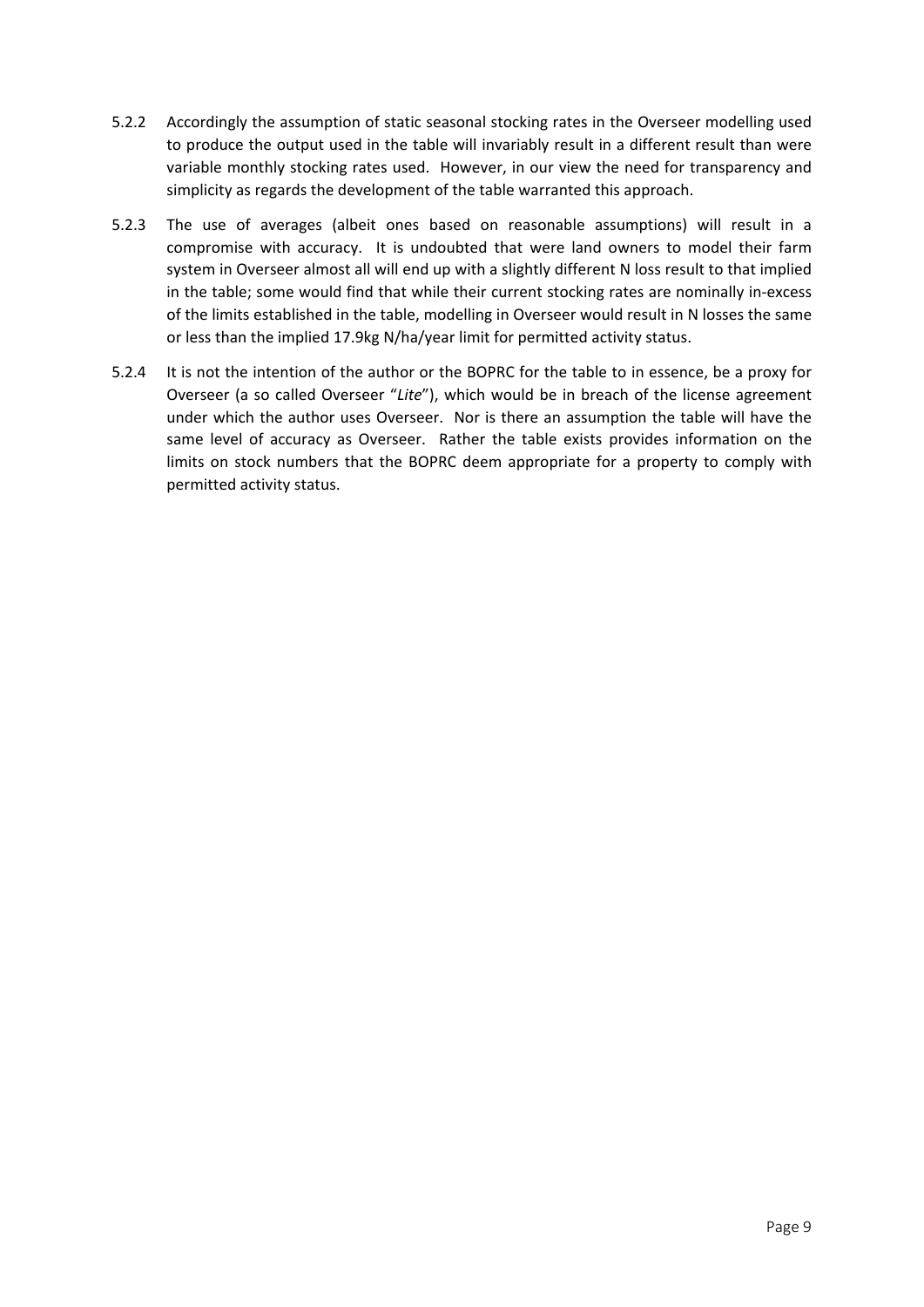- 5.2.2 Accordingly the assumption of static seasonal stocking rates in the Overseer modelling used to produce the output used in the table will invariably result in a different result than were variable monthly stocking rates used. However, in our view the need for transparency and simplicity as regards the development of the table warranted this approach.
- 5.2.3 The use of averages (albeit ones based on reasonable assumptions) will result in a compromise with accuracy. It is undoubted that were land owners to model their farm system in Overseer almost all will end up with a slightly different N loss result to that implied in the table; some would find that while their current stocking rates are nominally in‐excess of the limits established in the table, modelling in Overseer would result in N losses the same or less than the implied 17.9kg N/ha/year limit for permitted activity status.
- 5.2.4 It is not the intention of the author or the BOPRC for the table to in essence, be a proxy for Overseer (a so called Overseer "*Lite*"), which would be in breach of the license agreement under which the author uses Overseer. Nor is there an assumption the table will have the same level of accuracy as Overseer. Rather the table exists provides information on the limits on stock numbers that the BOPRC deem appropriate for a property to comply with permitted activity status.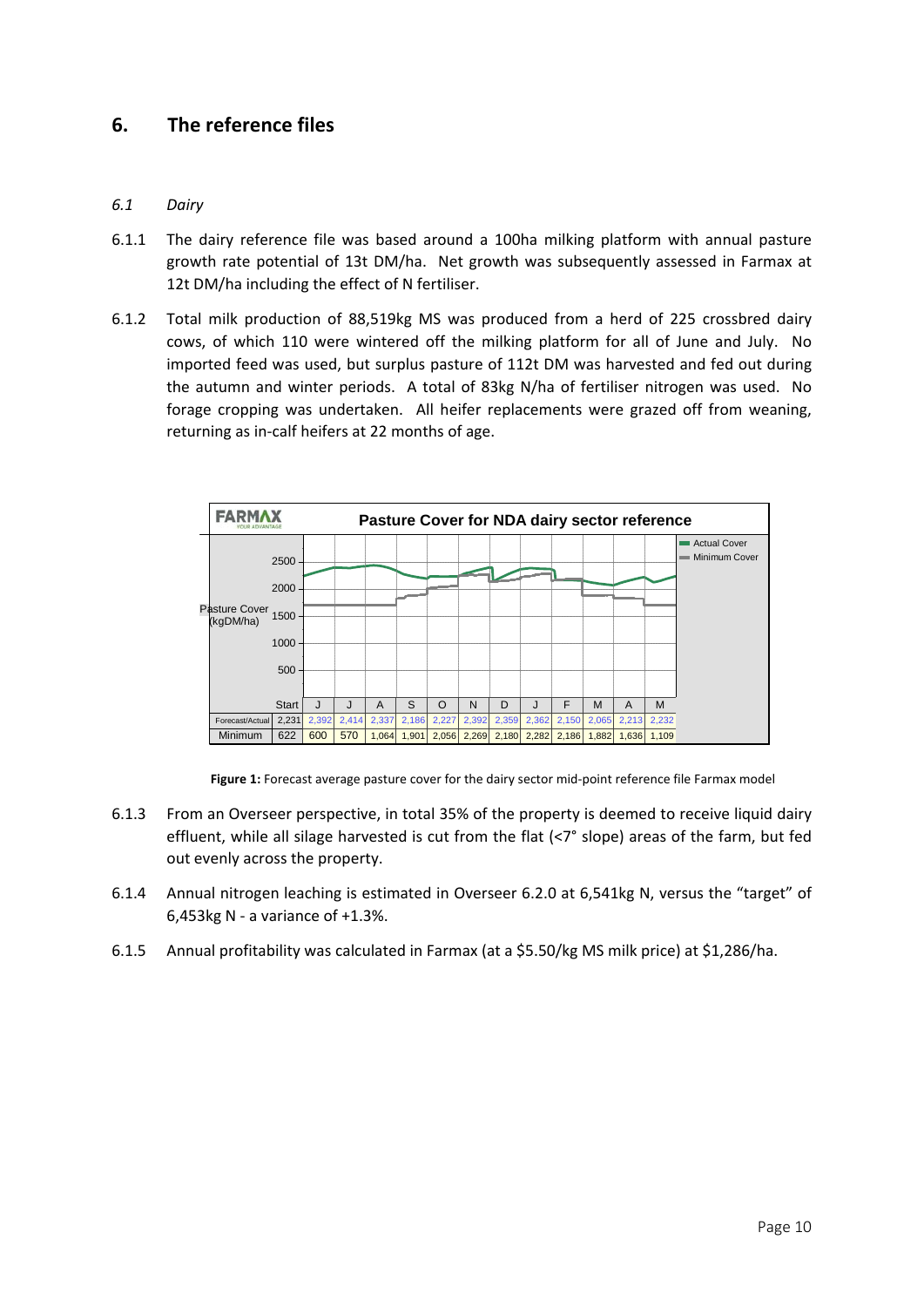# **6. The reference files**

#### *6.1 Dairy*

- 6.1.1 The dairy reference file was based around a 100ha milking platform with annual pasture growth rate potential of 13t DM/ha. Net growth was subsequently assessed in Farmax at 12t DM/ha including the effect of N fertiliser.
- 6.1.2 Total milk production of 88,519kg MS was produced from a herd of 225 crossbred dairy cows, of which 110 were wintered off the milking platform for all of June and July. No imported feed was used, but surplus pasture of 112t DM was harvested and fed out during the autumn and winter periods. A total of 83kg N/ha of fertiliser nitrogen was used. No forage cropping was undertaken. All heifer replacements were grazed off from weaning, returning as in‐calf heifers at 22 months of age.



**Figure 1:** Forecast average pasture cover for the dairy sector mid‐point reference file Farmax model

- 6.1.3 From an Overseer perspective, in total 35% of the property is deemed to receive liquid dairy effluent, while all silage harvested is cut from the flat (<7° slope) areas of the farm, but fed out evenly across the property.
- 6.1.4 Annual nitrogen leaching is estimated in Overseer 6.2.0 at 6,541kg N, versus the "target" of 6,453kg N ‐ a variance of +1.3%.
- 6.1.5 Annual profitability was calculated in Farmax (at a \$5.50/kg MS milk price) at \$1,286/ha.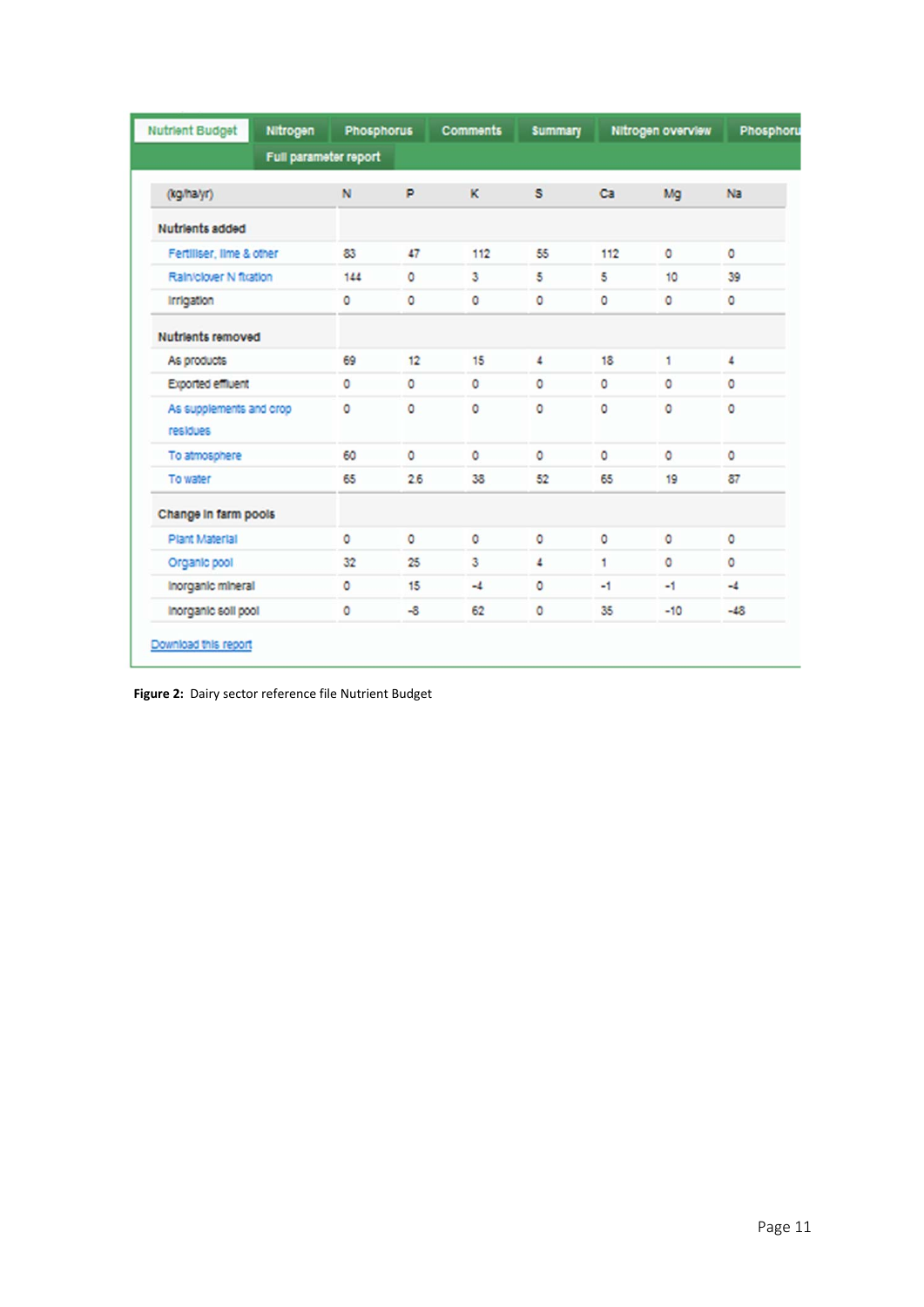| <b>Nutrient Budget</b>              | Nitrogen              | <b>Phosphorus</b> |         | <b>Comments</b> | <b>Summary</b> |         | Nitrogen overview | Phosphoru |
|-------------------------------------|-----------------------|-------------------|---------|-----------------|----------------|---------|-------------------|-----------|
|                                     | Full parameter report |                   |         |                 |                |         |                   |           |
| (kg/halyr)                          |                       | N                 | P       | κ               | s              | Ca      | Ma                | Na        |
| Nutrients added                     |                       |                   |         |                 |                |         |                   |           |
| Fertiliser, lime & other            |                       | 83                | 47      | 112             | 55             | 112     | $\circ$           | $\circ$   |
| Rain/clover N fitation              |                       | 144               | $\circ$ | 3               | 5              | 5       | 10                | 39        |
| Irrigation                          |                       | $\circ$           | $\circ$ | 0               | $\circ$        | $\circ$ | 0                 | 0         |
| <b>Nutrients removed</b>            |                       |                   |         |                 |                |         |                   |           |
| As products                         |                       | 69                | 12      | 15              | 4              | 18      | 1                 | 4         |
| Exported effluent                   |                       | 0                 | $\circ$ | o               | $\circ$        | ٥       | ٥                 | 0         |
| As supplements and crop<br>residues |                       | O                 | $\circ$ | $\circ$         | $\circ$        | $\circ$ | 0                 | 0         |
| To atmosphere                       |                       | 60                | $\circ$ | O               | $\circ$        | $\circ$ | ٥                 | $\circ$   |
| To water                            |                       | 65                | 26      | 38              | 52             | 65      | 19                | 87        |
| Change in farm pools                |                       |                   |         |                 |                |         |                   |           |
| Plant Material                      |                       | $\circ$           | $\circ$ | $\circ$         | $\circ$        | $\circ$ | ٥                 | $\circ$   |
| Organic pool                        |                       | 32                | 25      | 3               | $\Delta$       | 1       | $\circ$           | $\circ$   |
| Inorganic mineral                   |                       | $\circ$           | 15      | $-4$            | $\circ$        | $-1$    | -1                | $-4$      |
| Inorganic soll pool                 |                       | ٥                 | $-8$    | 62              | 0              | 35      | $-10$             | $-48$     |

**Figure 2:** Dairy sector reference file Nutrient Budget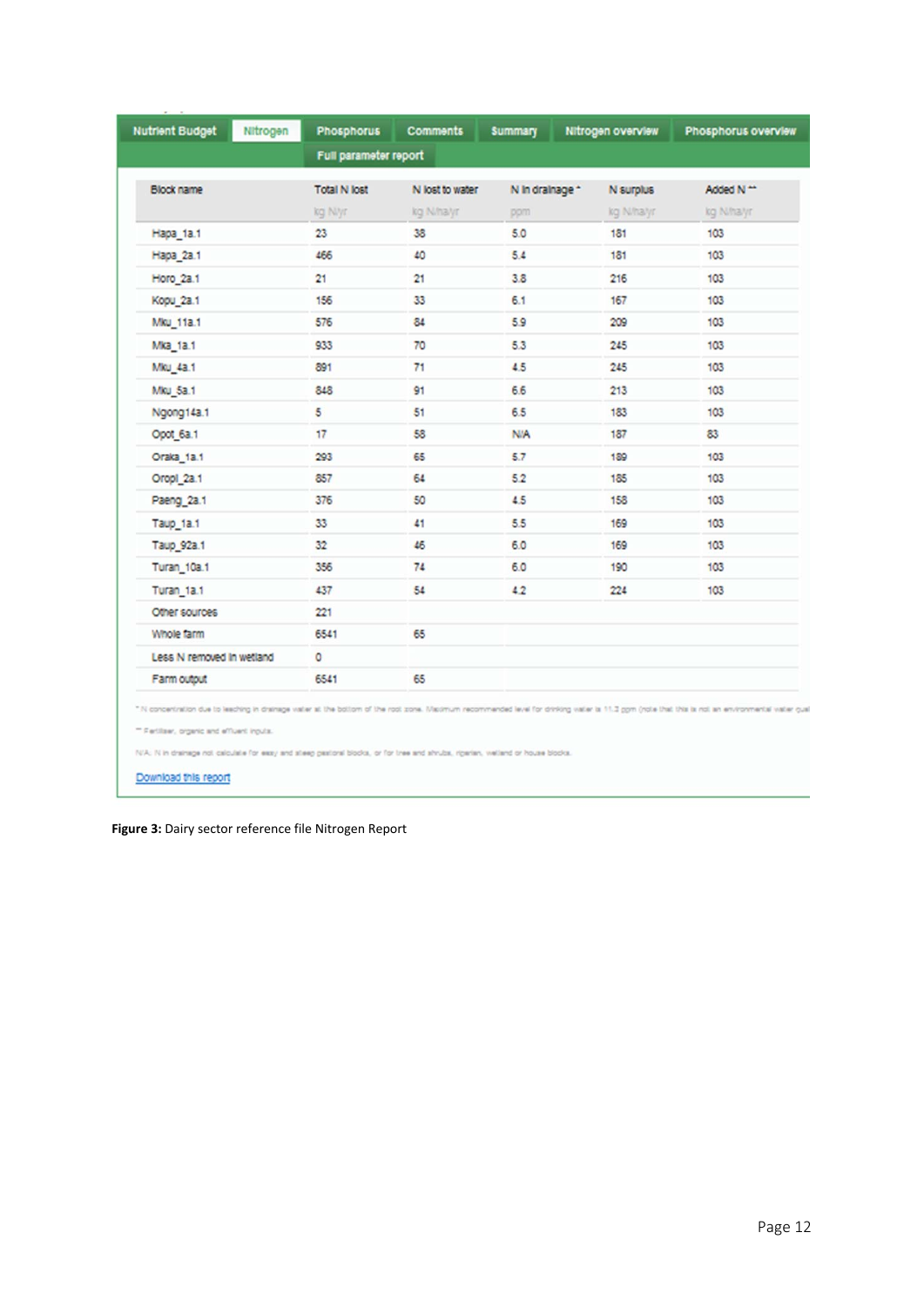| <b>Nutrient Budget</b>                                                                                                                                                                                                                           | Nitrogen<br><b>Phosphorus</b> | <b>Comments</b> | <b>Summary</b>  | Nitrogen overview | Phosphorus overview |
|--------------------------------------------------------------------------------------------------------------------------------------------------------------------------------------------------------------------------------------------------|-------------------------------|-----------------|-----------------|-------------------|---------------------|
|                                                                                                                                                                                                                                                  | Full parameter report         |                 |                 |                   |                     |
| Block name                                                                                                                                                                                                                                       | <b>Total N lost</b>           | N lost to water | N in drainage * | N surplus         | Added N **          |
|                                                                                                                                                                                                                                                  | kg Nlyr                       | kg N/hayr       | ppm             | kg N/ha/yr        | kg N/halyr          |
| Hapa 1a.1                                                                                                                                                                                                                                        | 23                            | 38              | 5.0             | 181               | 103                 |
| Hapa_2a.1                                                                                                                                                                                                                                        | 466                           | 40              | 5.4             | 181               | 103                 |
| Horo 2a.1                                                                                                                                                                                                                                        | 21                            | 21              | 3.8             | 216               | 103                 |
| Kopu 2a.1                                                                                                                                                                                                                                        | 156                           | 33              | 6.1             | 167               | 103                 |
| Mku 11a.1                                                                                                                                                                                                                                        | 576                           | 84              | 5.9             | 209               | 103                 |
| Mka 1a.1                                                                                                                                                                                                                                         | 933                           | 70              | 5.3             | 245               | 103                 |
| Mku 4a.1                                                                                                                                                                                                                                         | 891                           | 71              | 4.5             | 245               | 103                 |
| Mku 5a.1                                                                                                                                                                                                                                         | 848                           | 91              | 6.6             | 213               | 103                 |
| Ngong14a.1                                                                                                                                                                                                                                       | 5                             | 51              | 6.5             | 183               | 103                 |
| Opot 6a.1                                                                                                                                                                                                                                        | 17                            | 58              | N/A             | 187               | 83                  |
| Oraka 1a.1                                                                                                                                                                                                                                       | 293                           | 65              | 5.7             | 189               | 103                 |
| Oropi_2a.1                                                                                                                                                                                                                                       | 857                           | 64              | 5.2             | 185               | 103                 |
| Paeng_2a.1                                                                                                                                                                                                                                       | 376                           | 50              | 4.5             | 158               | 103                 |
| Taup_1a.1                                                                                                                                                                                                                                        | 33                            | 41              | 5.5             | 169               | 103                 |
| Taup_92a.1                                                                                                                                                                                                                                       | 32                            | 46              | 6.0             | 169               | 103                 |
| Turan_10a.1                                                                                                                                                                                                                                      | 356                           | 74              | 6.0             | 190               | 103                 |
| Turan 1a.1                                                                                                                                                                                                                                       | 437                           | 54              | 4.2             | 224               | 103                 |
| Other sources                                                                                                                                                                                                                                    | 221                           |                 |                 |                   |                     |
| Whole farm                                                                                                                                                                                                                                       | 6541                          | 65              |                 |                   |                     |
| Less N removed in wetland                                                                                                                                                                                                                        | $\circ$                       |                 |                 |                   |                     |
| Farm output                                                                                                                                                                                                                                      | 6541                          | 65              |                 |                   |                     |
| " N concentration due to leaching in drainage valler at the bottom of the root zone. Maximum recommended level for drinking valler is 11.3 gpm (note that this is not an environmental valler quali<br>- Fertilser, organic and effluent inputs. |                               |                 |                 |                   |                     |

**Figure 3:** Dairy sector reference file Nitrogen Report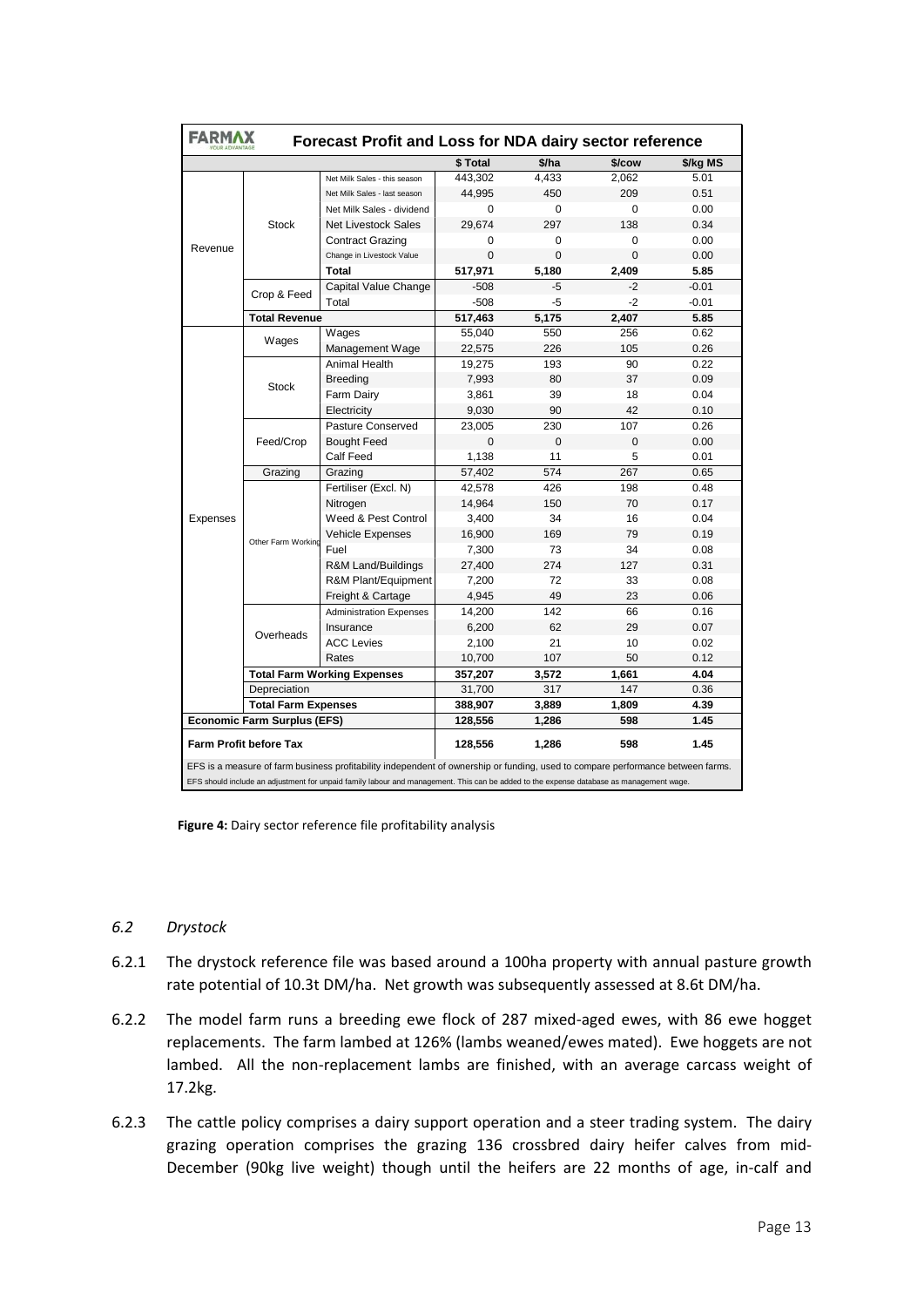| <b>FARMAX</b><br>Forecast Profit and Loss for NDA dairy sector reference |                                    |                                                                                                                                         |          |             |          |          |  |  |
|--------------------------------------------------------------------------|------------------------------------|-----------------------------------------------------------------------------------------------------------------------------------------|----------|-------------|----------|----------|--|--|
|                                                                          |                                    |                                                                                                                                         | \$Total  | \$/ha       | \$/cow   | \$/kg MS |  |  |
|                                                                          |                                    | Net Milk Sales - this season                                                                                                            | 443,302  | 4,433       | 2,062    | 5.01     |  |  |
|                                                                          |                                    | Net Milk Sales - last season                                                                                                            | 44,995   | 450         | 209      | 0.51     |  |  |
|                                                                          | <b>Stock</b><br>Revenue            | Net Milk Sales - dividend                                                                                                               | $\Omega$ | 0           | 0        | 0.00     |  |  |
|                                                                          |                                    | <b>Net Livestock Sales</b>                                                                                                              | 29,674   | 297         | 138      | 0.34     |  |  |
|                                                                          |                                    | <b>Contract Grazing</b>                                                                                                                 | $\Omega$ | 0           | 0        | 0.00     |  |  |
|                                                                          |                                    | Change in Livestock Value                                                                                                               | $\Omega$ | $\Omega$    | $\Omega$ | 0.00     |  |  |
|                                                                          |                                    | <b>Total</b>                                                                                                                            | 517,971  | 5,180       | 2,409    | 5.85     |  |  |
|                                                                          |                                    | Capital Value Change                                                                                                                    | $-508$   | $-5$        | $-2$     | $-0.01$  |  |  |
|                                                                          | Crop & Feed                        | Total                                                                                                                                   | $-508$   | -5          | $-2$     | $-0.01$  |  |  |
|                                                                          | <b>Total Revenue</b>               |                                                                                                                                         | 517,463  | 5,175       | 2,407    | 5.85     |  |  |
|                                                                          | Wages                              | Wages                                                                                                                                   | 55,040   | 550         | 256      | 0.62     |  |  |
|                                                                          |                                    | Management Wage                                                                                                                         | 22,575   | 226         | 105      | 0.26     |  |  |
|                                                                          |                                    | Animal Health                                                                                                                           | 19,275   | 193         | 90       | 0.22     |  |  |
|                                                                          | <b>Stock</b>                       | <b>Breeding</b>                                                                                                                         | 7,993    | 80          | 37       | 0.09     |  |  |
|                                                                          |                                    | Farm Dairy                                                                                                                              | 3,861    | 39          | 18       | 0.04     |  |  |
|                                                                          |                                    | Electricity                                                                                                                             | 9,030    | 90          | 42       | 0.10     |  |  |
|                                                                          |                                    | Pasture Conserved                                                                                                                       | 23,005   | 230         | 107      | 0.26     |  |  |
|                                                                          | Feed/Crop                          | <b>Bought Feed</b>                                                                                                                      | $\Omega$ | $\mathbf 0$ | 0        | 0.00     |  |  |
|                                                                          |                                    | Calf Feed                                                                                                                               | 1,138    | 11          | 5        | 0.01     |  |  |
|                                                                          | Grazing                            | Grazing                                                                                                                                 | 57,402   | 574         | 267      | 0.65     |  |  |
|                                                                          |                                    | Fertiliser (Excl. N)                                                                                                                    | 42,578   | 426         | 198      | 0.48     |  |  |
|                                                                          |                                    | Nitrogen                                                                                                                                | 14,964   | 150         | 70       | 0.17     |  |  |
| Expenses                                                                 |                                    | Weed & Pest Control                                                                                                                     | 3,400    | 34          | 16       | 0.04     |  |  |
|                                                                          | Other Farm Working                 | Vehicle Expenses                                                                                                                        | 16,900   | 169         | 79       | 0.19     |  |  |
|                                                                          |                                    | Fuel                                                                                                                                    | 7,300    | 73          | 34       | 0.08     |  |  |
|                                                                          |                                    | R&M Land/Buildings                                                                                                                      | 27,400   | 274         | 127      | 0.31     |  |  |
|                                                                          |                                    | R&M Plant/Equipment                                                                                                                     | 7,200    | 72          | 33       | 0.08     |  |  |
|                                                                          |                                    | Freight & Cartage                                                                                                                       | 4,945    | 49          | 23       | 0.06     |  |  |
|                                                                          |                                    | <b>Administration Expenses</b>                                                                                                          | 14,200   | 142         | 66       | 0.16     |  |  |
|                                                                          | Overheads                          | Insurance                                                                                                                               | 6,200    | 62          | 29       | 0.07     |  |  |
|                                                                          |                                    | <b>ACC Levies</b>                                                                                                                       | 2,100    | 21          | 10       | 0.02     |  |  |
|                                                                          |                                    | Rates                                                                                                                                   | 10,700   | 107         | 50       | 0.12     |  |  |
|                                                                          |                                    | <b>Total Farm Working Expenses</b>                                                                                                      | 357,207  | 3,572       | 1,661    | 4.04     |  |  |
|                                                                          | Depreciation                       |                                                                                                                                         | 31,700   | 317         | 147      | 0.36     |  |  |
|                                                                          | <b>Total Farm Expenses</b>         |                                                                                                                                         | 388,907  | 3,889       | 1,809    | 4.39     |  |  |
|                                                                          | <b>Economic Farm Surplus (EFS)</b> |                                                                                                                                         | 128,556  | 1,286       | 598      | 1.45     |  |  |
|                                                                          | <b>Farm Profit before Tax</b>      |                                                                                                                                         | 128,556  | 1,286       | 598      | 1.45     |  |  |
|                                                                          |                                    | EFS is a measure of farm business profitability independent of ownership or funding, used to compare performance between farms.         |          |             |          |          |  |  |
|                                                                          |                                    | EFS should include an adjustment for unpaid family labour and management. This can be added to the expense database as management wage. |          |             |          |          |  |  |

**Figure 4:** Dairy sector reference file profitability analysis

#### *6.2 Drystock*

- 6.2.1 The drystock reference file was based around a 100ha property with annual pasture growth rate potential of 10.3t DM/ha. Net growth was subsequently assessed at 8.6t DM/ha.
- 6.2.2 The model farm runs a breeding ewe flock of 287 mixed‐aged ewes, with 86 ewe hogget replacements. The farm lambed at 126% (lambs weaned/ewes mated). Ewe hoggets are not lambed. All the non-replacement lambs are finished, with an average carcass weight of 17.2kg.
- 6.2.3 The cattle policy comprises a dairy support operation and a steer trading system. The dairy grazing operation comprises the grazing 136 crossbred dairy heifer calves from mid‐ December (90kg live weight) though until the heifers are 22 months of age, in-calf and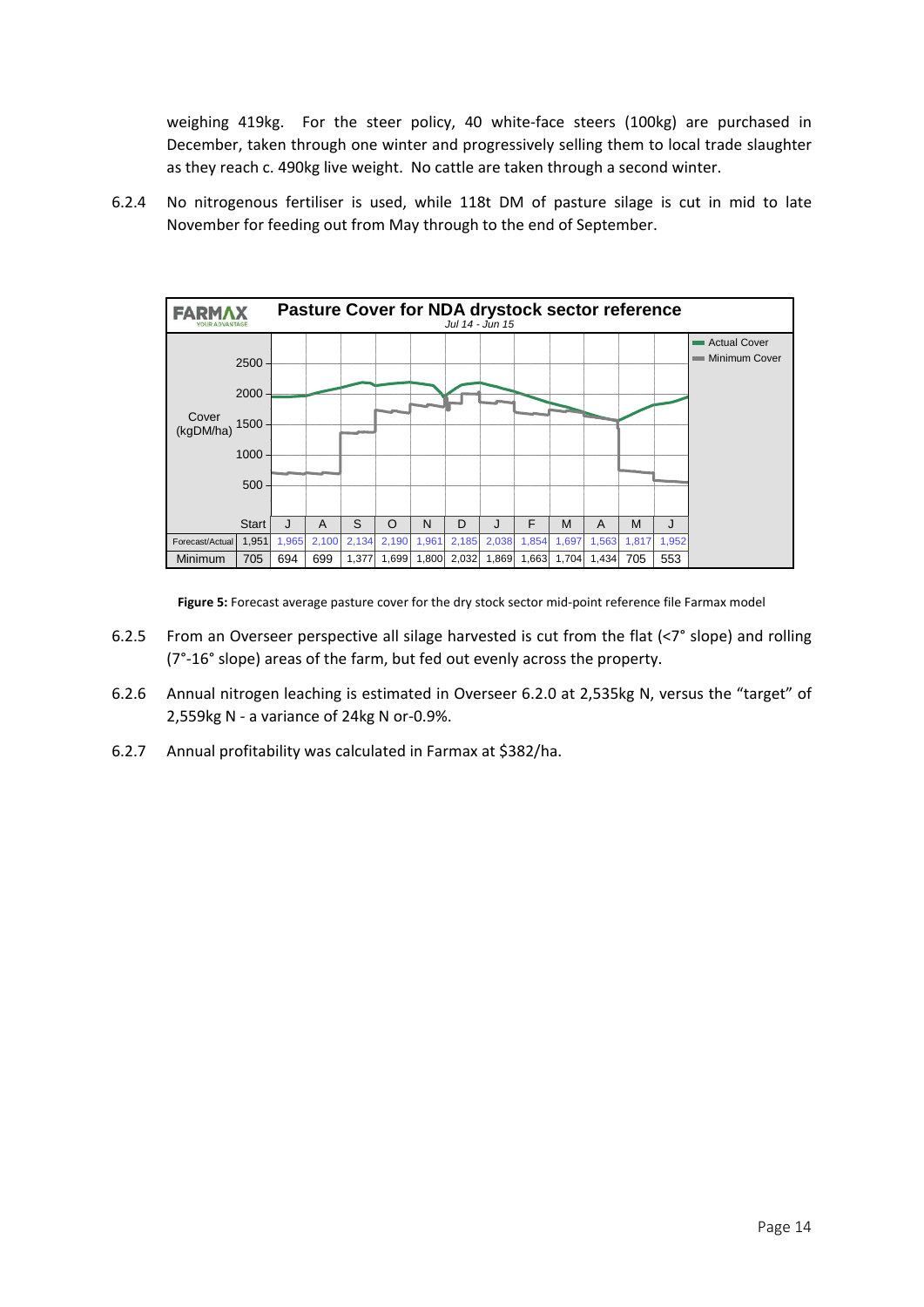weighing 419kg. For the steer policy, 40 white-face steers (100kg) are purchased in December, taken through one winter and progressively selling them to local trade slaughter as they reach c. 490kg live weight. No cattle are taken through a second winter.

6.2.4 No nitrogenous fertiliser is used, while 118t DM of pasture silage is cut in mid to late November for feeding out from May through to the end of September.



Figure 5: Forecast average pasture cover for the dry stock sector mid-point reference file Farmax model

- 6.2.5 From an Overseer perspective all silage harvested is cut from the flat (<7° slope) and rolling (7°‐16° slope) areas of the farm, but fed out evenly across the property.
- 6.2.6 Annual nitrogen leaching is estimated in Overseer 6.2.0 at 2,535kg N, versus the "target" of 2,559kg N ‐ a variance of 24kg N or‐0.9%.
- 6.2.7 Annual profitability was calculated in Farmax at \$382/ha.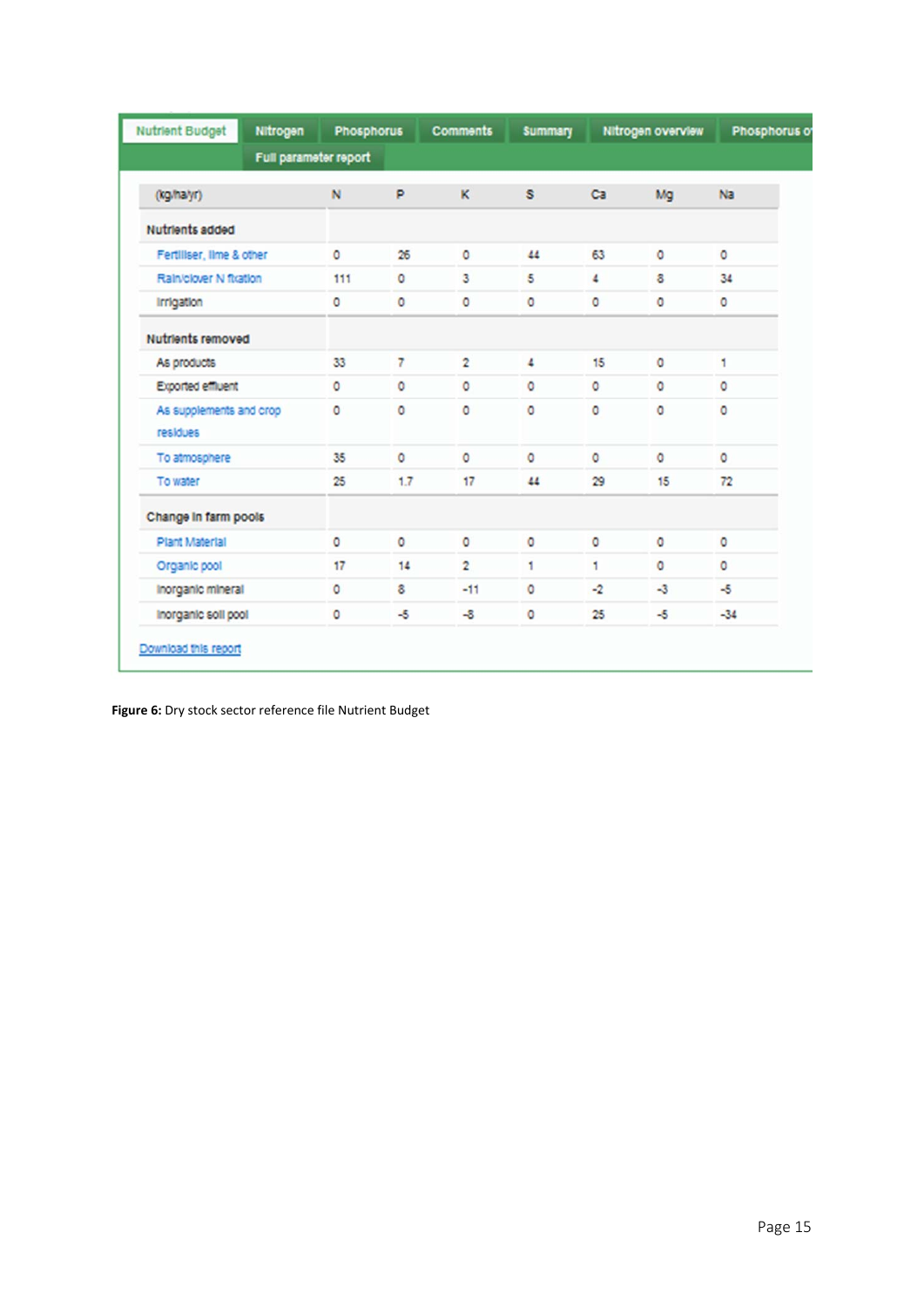| <b>Nutrient Budget</b>              | Nitrogen              | <b>Phosphorus</b> |         | <b>Comments</b> | <b>Summary</b> |         | Nitrogen overview | Phosphorus of |
|-------------------------------------|-----------------------|-------------------|---------|-----------------|----------------|---------|-------------------|---------------|
|                                     | Full parameter report |                   |         |                 |                |         |                   |               |
| (kg/halyr)                          |                       | N                 | P       | ĸ               | s              | Ca      | Mg                | Na            |
| Nutrients added                     |                       |                   |         |                 |                |         |                   |               |
| Fertiliser, lime & other            |                       | $\circ$           | 26      | ٥               | 44             | 63      | $\circ$           | $\circ$       |
| Rain/clover N ftration              |                       | 111               | $\circ$ | 3               | 5              | 4       | $\ddot{\circ}$    | 34            |
| Irrigation                          |                       | $\circ$           | $\circ$ | $\circ$         | $\circ$        | $\circ$ | $\circ$           | $\circ$       |
| <b>Nutrients removed</b>            |                       |                   |         |                 |                |         |                   |               |
| As products                         |                       | 33                | 7       | $\overline{2}$  | 4              | 15      | $\circ$           | 1             |
| Exported effluent                   |                       | $\circ$           | 0       | $\circ$         | $\circ$        | $\circ$ | $\circ$           | $\circ$       |
| As supplements and crop<br>residues |                       | $\circ$           | $\circ$ | $\circ$         | $\circ$        | $\circ$ | $\circ$           | $\circ$       |
| To atmosphere                       |                       | 35                | $\circ$ | $\circ$         | $\circ$        | $\circ$ | $\circ$           | $\circ$       |
| To water                            |                       | 25                | 1.7     | 17              | 44             | 29      | 15                | 72            |
| Change in farm pools                |                       |                   |         |                 |                |         |                   |               |
| Plant Material                      |                       | $\circ$           | $\circ$ | O               | o              | O       | $\circ$           | $\circ$       |
| Organic pool                        |                       | 17                | 14      | $\overline{2}$  | 1              | 1       | $\circ$           | $\circ$       |
| Inorganic mineral                   |                       | $\circ$           | 8       | $-11$           | $\circ$        | $-2$    | $-3$              | $-5$          |
| Inorganic soll pool                 |                       | ٥                 | -5      | $-8$            | 0              | 25      | $-5$              | $-34$         |

**Figure 6:** Dry stock sector reference file Nutrient Budget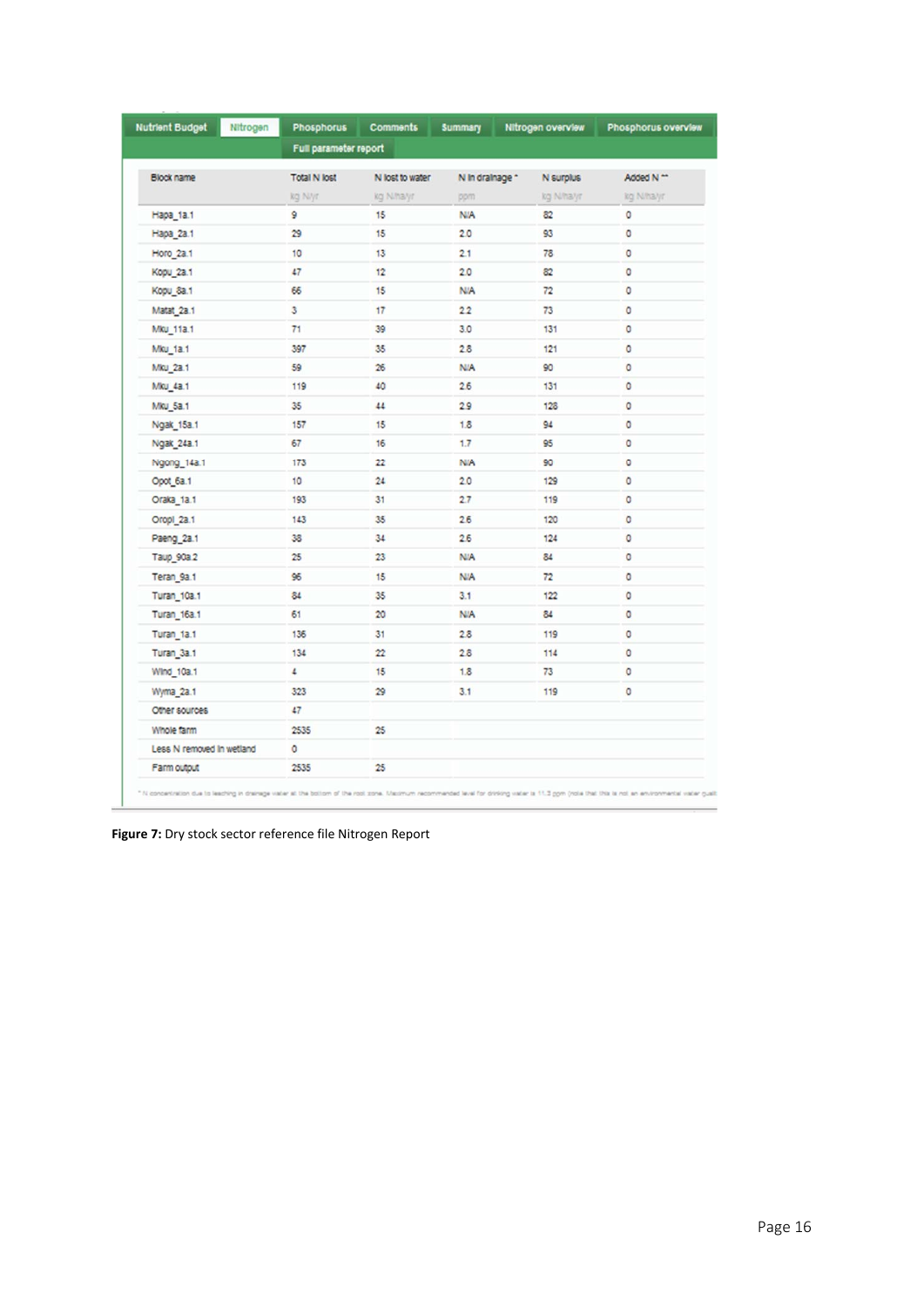| Nitrogen                  | Full parameter report | <b>Comments</b>            | <b>Summary</b>  | Nitrogen overview | Phosphorus overview |
|---------------------------|-----------------------|----------------------------|-----------------|-------------------|---------------------|
|                           |                       |                            |                 |                   |                     |
| Block name                | <b>Total N lost</b>   | N lost to water            | N in drainage * | N surplus         | Added N ^^          |
|                           | kg Niyr               | kg N/ha/yr                 | pom.            | kg N/ha/yr        | kg N/halyr          |
| Hapa 1a.1                 | 9                     | 15                         | <b>N/A</b>      | 82                | $\circ$             |
| Hapa_2a.1                 | 29                    | 15                         | 2.0             | 93                | ٥                   |
| Horo_2a.1                 | 10                    | 13                         | 21              | 78                | ٥                   |
| Kopu_2a.1                 | 47                    | 12                         | 20              | 82                | $\circ$             |
| Kopu_8a.1                 | 66                    | 15                         | <b>N/A</b>      | 72                | $\circ$             |
| Matat 2a.1                | 3                     | 17                         | 22              | 73                | $\circ$             |
| Mku 11a.1                 | 71                    | 39                         | 3.0             | 131               | $\circ$             |
| <b>Mku 1a.1</b>           | 397                   | 35                         | 28              | 121               | 0                   |
| Mku 2a.1                  | 59                    | 26                         | <b>N/A</b>      | 90                | ٥                   |
| Mku 4a.1                  | 119                   | 40                         | 2.6             | 131               | $\circ$             |
| Mku 5a.1                  | 35                    | 44                         | 29              | 128               | $\circ$             |
| Ngak_15a.1                | 157                   | 15                         | 1.8             | 94                | $\circ$             |
| Ngak 24a.1                | 67                    | 16                         | 1.7             | 95                | ٥                   |
| Ngong_14a.1               | 173                   | 22                         | <b>N/A</b>      | 90                | ٥                   |
| Opot_6a.1                 | 10                    | 24                         | 2.0             | 129               | ٥                   |
| Oraka_1a.1                | 193                   | 31                         | 2.7             | 119               | $\circ$             |
| Oropi 2a.1                | 143                   | 35                         | 26              | 120               | o                   |
| Paeng_2a.1                | 38                    | 34                         | 2.6             | 124               | $\circ$             |
| Taup_90a.2                | 25                    | 23                         | <b>N/A</b>      | 84                | $\circ$             |
| Teran_9a.1                | 96                    | 15                         | <b>N/A</b>      | 72                | $\circ$             |
| Turan <sub>10a.1</sub>    | 84                    | 35                         | 3.1             | 122               | ٥                   |
| Turan <sub>16a.1</sub>    | 61                    | 20                         | <b>N/A</b>      | 84                | $\circ$             |
| Turan <sub>1a.1</sub>     | 136                   | 31                         | 28              | 119               | $\circ$             |
| Turan <sub>3a.1</sub>     | 134                   | $\boldsymbol{\mathsf{22}}$ | 28              | 114               | $\circ$             |
| Wind_10a.1                | $\overline{a}$        | 15                         | 1.8             | 73                | $\circ$             |
| Wyma 2a.1                 | 323                   | 29                         | 3.1             | 119               | $\circ$             |
| Other sources             | 47                    |                            |                 |                   |                     |
| Whole farm                | 2535                  | 25                         |                 |                   |                     |
| Less N removed In wetland | ٥                     |                            |                 |                   |                     |
| Farm output               | 2535                  | 25                         |                 |                   |                     |

**Figure 7:** Dry stock sector reference file Nitrogen Report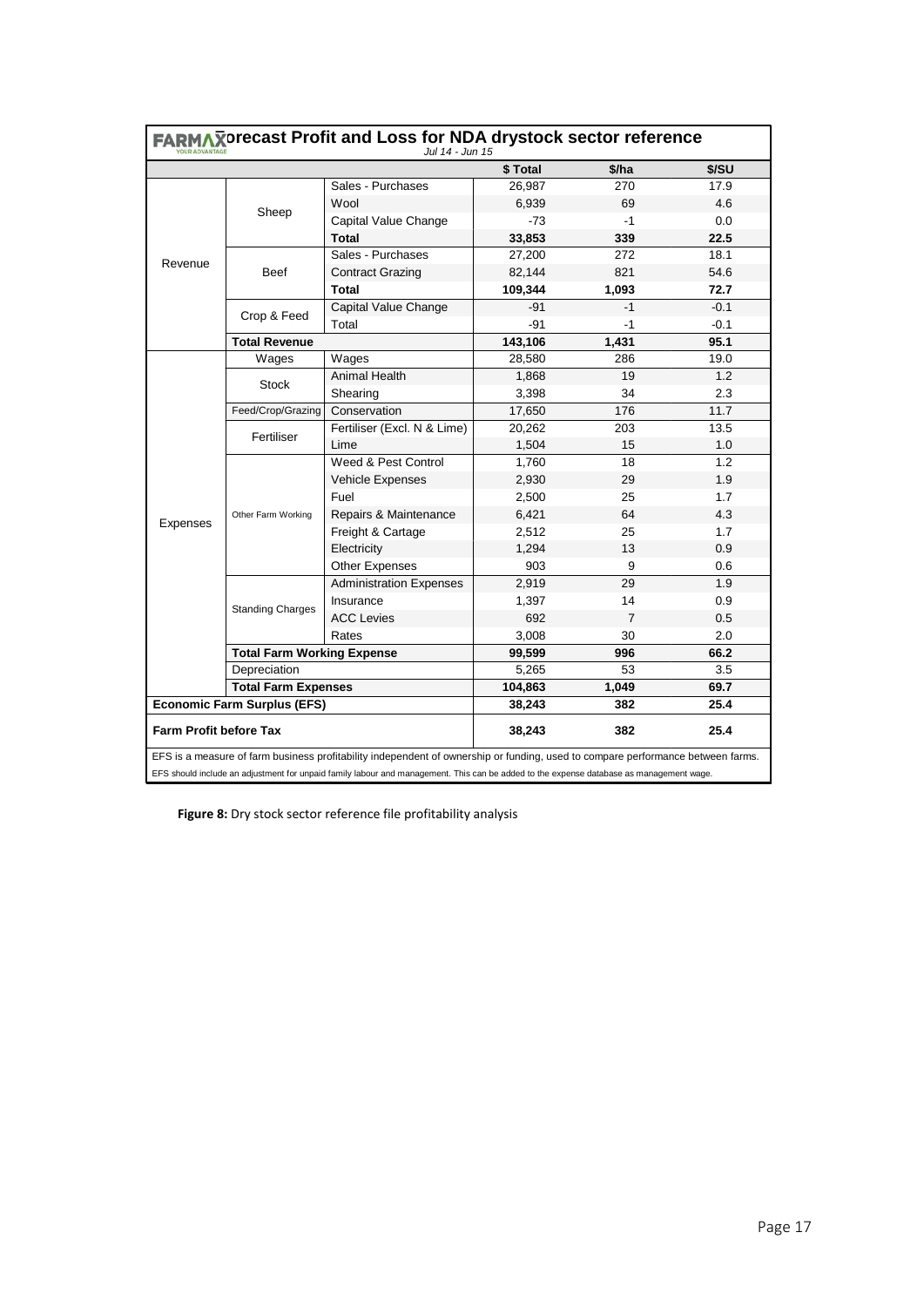|                               | FARMAXorecast Profit and Loss for NDA drystock sector reference<br>Jul 14 - Jun 15 |                                                                                                                                         |          |                |        |  |  |
|-------------------------------|------------------------------------------------------------------------------------|-----------------------------------------------------------------------------------------------------------------------------------------|----------|----------------|--------|--|--|
|                               |                                                                                    |                                                                                                                                         | \$ Total | \$/ha          | \$/SU  |  |  |
|                               |                                                                                    | Sales - Purchases                                                                                                                       | 26,987   | 270            | 17.9   |  |  |
|                               |                                                                                    | Wool                                                                                                                                    | 6,939    | 69             | 4.6    |  |  |
|                               | Sheep                                                                              | Capital Value Change                                                                                                                    | $-73$    | $-1$           | 0.0    |  |  |
|                               |                                                                                    | Total                                                                                                                                   | 33,853   | 339            | 22.5   |  |  |
|                               |                                                                                    | Sales - Purchases                                                                                                                       | 27,200   | 272            | 18.1   |  |  |
| Revenue                       | <b>Beef</b>                                                                        | <b>Contract Grazing</b>                                                                                                                 | 82,144   | 821            | 54.6   |  |  |
|                               |                                                                                    | <b>Total</b>                                                                                                                            | 109,344  | 1,093          | 72.7   |  |  |
|                               |                                                                                    | Capital Value Change                                                                                                                    | $-91$    | $-1$           | $-0.1$ |  |  |
|                               | Crop & Feed                                                                        | Total                                                                                                                                   | $-91$    | $-1$           | $-0.1$ |  |  |
|                               | <b>Total Revenue</b>                                                               |                                                                                                                                         | 143,106  | 1,431          | 95.1   |  |  |
|                               | Wages                                                                              | Wages                                                                                                                                   | 28,580   | 286            | 19.0   |  |  |
|                               |                                                                                    | Animal Health                                                                                                                           | 1,868    | 19             | 1.2    |  |  |
|                               | Stock                                                                              | Shearing                                                                                                                                | 3,398    | 34             | 2.3    |  |  |
|                               | Feed/Crop/Grazing                                                                  | Conservation                                                                                                                            | 17,650   | 176            | 11.7   |  |  |
|                               | Fertiliser                                                                         | Fertiliser (Excl. N & Lime)                                                                                                             | 20,262   | 203            | 13.5   |  |  |
|                               |                                                                                    | Lime                                                                                                                                    | 1,504    | 15             | 1.0    |  |  |
|                               | Other Farm Working                                                                 | Weed & Pest Control                                                                                                                     | 1,760    | 18             | 1.2    |  |  |
|                               |                                                                                    | Vehicle Expenses                                                                                                                        | 2,930    | 29             | 1.9    |  |  |
|                               |                                                                                    | Fuel                                                                                                                                    | 2,500    | 25             | 1.7    |  |  |
|                               |                                                                                    | Repairs & Maintenance                                                                                                                   | 6,421    | 64             | 4.3    |  |  |
| Expenses                      |                                                                                    | Freight & Cartage                                                                                                                       | 2,512    | 25             | 1.7    |  |  |
|                               |                                                                                    | Electricity                                                                                                                             | 1,294    | 13             | 0.9    |  |  |
|                               |                                                                                    | <b>Other Expenses</b>                                                                                                                   | 903      | 9              | 0.6    |  |  |
|                               |                                                                                    | <b>Administration Expenses</b>                                                                                                          | 2,919    | 29             | 1.9    |  |  |
|                               | <b>Standing Charges</b>                                                            | Insurance                                                                                                                               | 1,397    | 14             | 0.9    |  |  |
|                               |                                                                                    | <b>ACC Levies</b>                                                                                                                       | 692      | $\overline{7}$ | 0.5    |  |  |
|                               |                                                                                    | Rates                                                                                                                                   | 3,008    | 30             | 2.0    |  |  |
|                               | <b>Total Farm Working Expense</b>                                                  |                                                                                                                                         | 99,599   | 996            | 66.2   |  |  |
|                               | Depreciation                                                                       |                                                                                                                                         | 5,265    | 53             | 3.5    |  |  |
|                               | <b>Total Farm Expenses</b>                                                         |                                                                                                                                         | 104,863  | 1,049          | 69.7   |  |  |
|                               | <b>Economic Farm Surplus (EFS)</b>                                                 |                                                                                                                                         | 38,243   | 382            | 25.4   |  |  |
| <b>Farm Profit before Tax</b> |                                                                                    |                                                                                                                                         | 38,243   | 382            | 25.4   |  |  |
|                               |                                                                                    | EFS is a measure of farm business profitability independent of ownership or funding, used to compare performance between farms.         |          |                |        |  |  |
|                               |                                                                                    | EFS should include an adjustment for unpaid family labour and management. This can be added to the expense database as management wage. |          |                |        |  |  |

**Figure 8:** Dry stock sector reference file profitability analysis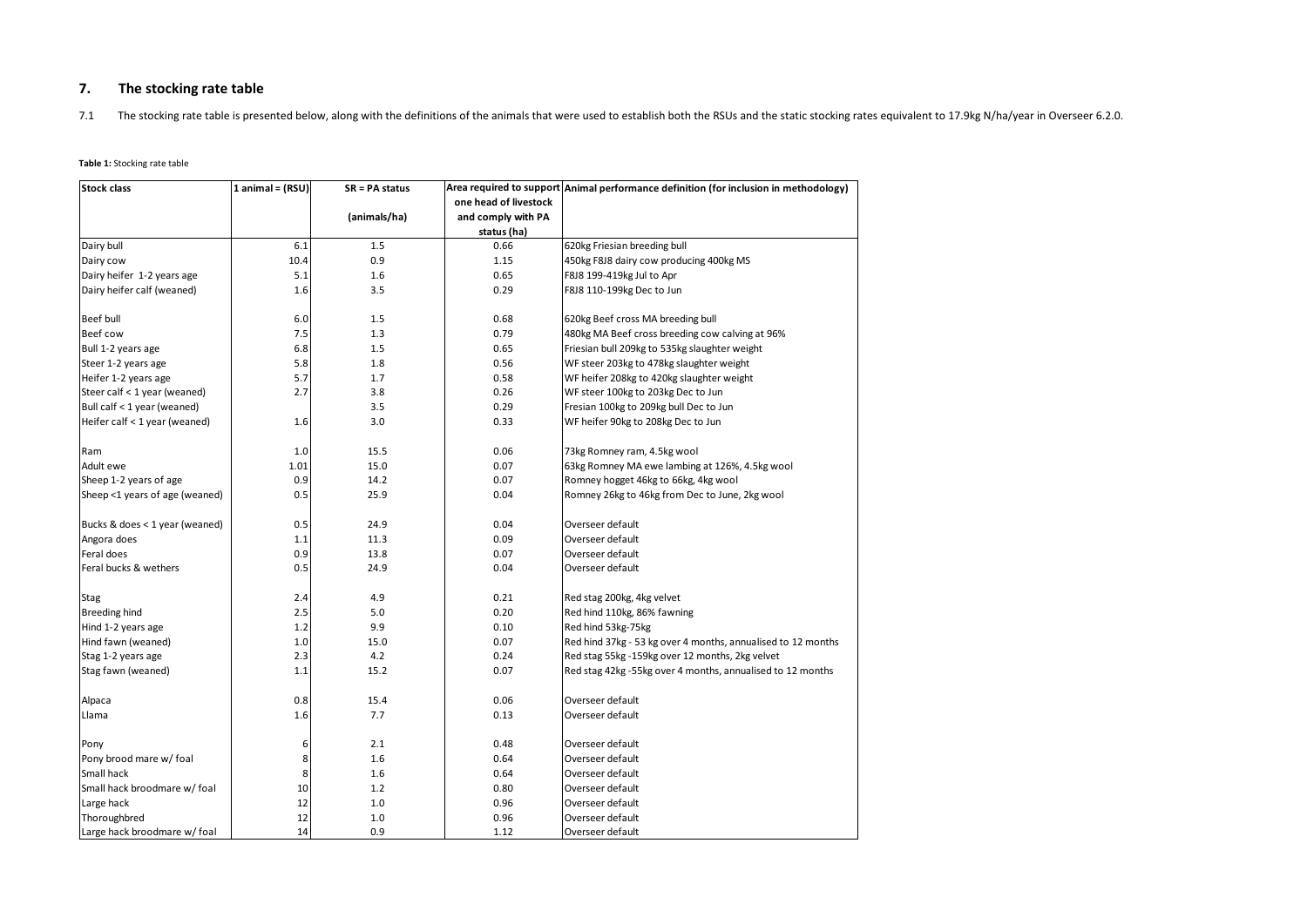#### **7.The stocking rate table**

7.1The stocking rate table is presented below, along with the definitions of the animals that were used to establish both the RSUs and the static stocking rates equivalent to 17.9kg N/ha/year in Overseer 6.2.0.

#### **Table 1:** Stocking rate table

| <b>Stock class</b>             | 1 animal = $(RSU)$ | $SR = PA$ status |                       | Area required to support Animal performance definition (for inclusion in methodology) |
|--------------------------------|--------------------|------------------|-----------------------|---------------------------------------------------------------------------------------|
|                                |                    |                  | one head of livestock |                                                                                       |
|                                |                    | (animals/ha)     | and comply with PA    |                                                                                       |
|                                |                    |                  | status (ha)           |                                                                                       |
| Dairy bull                     | 6.1                | 1.5              | 0.66                  | 620kg Friesian breeding bull                                                          |
| Dairy cow                      | 10.4               | 0.9              | 1.15                  | 450kg F8J8 dairy cow producing 400kg MS                                               |
| Dairy heifer 1-2 years age     | 5.1                | 1.6              | 0.65                  | F8J8 199-419kg Jul to Apr                                                             |
| Dairy heifer calf (weaned)     | 1.6                | 3.5              | 0.29                  | F8J8 110-199kg Dec to Jun                                                             |
| Beef bull                      | 6.0                | 1.5              | 0.68                  | 620kg Beef cross MA breeding bull                                                     |
| Beef cow                       | 7.5                | 1.3              | 0.79                  | 480kg MA Beef cross breeding cow calving at 96%                                       |
| Bull 1-2 years age             | 6.8                | 1.5              | 0.65                  | Friesian bull 209kg to 535kg slaughter weight                                         |
| Steer 1-2 years age            | 5.8                | 1.8              | 0.56                  | WF steer 203kg to 478kg slaughter weight                                              |
| Heifer 1-2 years age           | 5.7                | 1.7              | 0.58                  | WF heifer 208kg to 420kg slaughter weight                                             |
|                                | 2.7                | 3.8              | 0.26                  | WF steer 100kg to 203kg Dec to Jun                                                    |
| Steer calf < 1 year (weaned)   |                    |                  |                       |                                                                                       |
| Bull calf < 1 year (weaned)    |                    | 3.5              | 0.29                  | Fresian 100kg to 209kg bull Dec to Jun                                                |
| Heifer calf < 1 year (weaned)  | 1.6                | 3.0              | 0.33                  | WF heifer 90kg to 208kg Dec to Jun                                                    |
| Ram                            | 1.0                | 15.5             | 0.06                  | 73kg Romney ram, 4.5kg wool                                                           |
| Adult ewe                      | 1.01               | 15.0             | 0.07                  | 63kg Romney MA ewe lambing at 126%, 4.5kg wool                                        |
| Sheep 1-2 years of age         | 0.9                | 14.2             | 0.07                  | Romney hogget 46kg to 66kg, 4kg wool                                                  |
| Sheep <1 years of age (weaned) | 0.5                | 25.9             | 0.04                  | Romney 26kg to 46kg from Dec to June, 2kg wool                                        |
| Bucks & does < 1 year (weaned) | 0.5                | 24.9             | 0.04                  | Overseer default                                                                      |
| Angora does                    | 1.1                | 11.3             | 0.09                  | Overseer default                                                                      |
| Feral does                     | 0.9                | 13.8             | 0.07                  | Overseer default                                                                      |
| Feral bucks & wethers          | 0.5                | 24.9             | 0.04                  | Overseer default                                                                      |
|                                |                    |                  |                       |                                                                                       |
| <b>Stag</b>                    | 2.4                | 4.9              | 0.21                  | Red stag 200kg, 4kg velvet                                                            |
| Breeding hind                  | 2.5                | 5.0              | 0.20                  | Red hind 110kg, 86% fawning                                                           |
| Hind 1-2 years age             | 1.2                | 9.9              | 0.10                  | Red hind 53kg-75kg                                                                    |
| Hind fawn (weaned)             | 1.0                | 15.0             | 0.07                  | Red hind 37kg - 53 kg over 4 months, annualised to 12 months                          |
| Stag 1-2 years age             | 2.3                | 4.2              | 0.24                  | Red stag 55kg -159kg over 12 months, 2kg velvet                                       |
| Stag fawn (weaned)             | 1.1                | 15.2             | 0.07                  | Red stag 42kg -55kg over 4 months, annualised to 12 months                            |
| Alpaca                         | 0.8                | 15.4             | 0.06                  | Overseer default                                                                      |
| Llama                          | 1.6                | 7.7              | 0.13                  | Overseer default                                                                      |
| Pony                           | 6                  | 2.1              | 0.48                  | Overseer default                                                                      |
| Pony brood mare w/ foal        | 8                  | 1.6              | 0.64                  | Overseer default                                                                      |
| Small hack                     | 8                  | 1.6              | 0.64                  | Overseer default                                                                      |
| Small hack broodmare w/ foal   | 10                 | 1.2              | 0.80                  | Overseer default                                                                      |
| Large hack                     | 12                 | 1.0              | 0.96                  | Overseer default                                                                      |
| Thoroughbred                   | 12                 | 1.0              | 0.96                  | Overseer default                                                                      |
| Large hack broodmare w/ foal   | 14                 | 0.9              | 1.12                  | Overseer default                                                                      |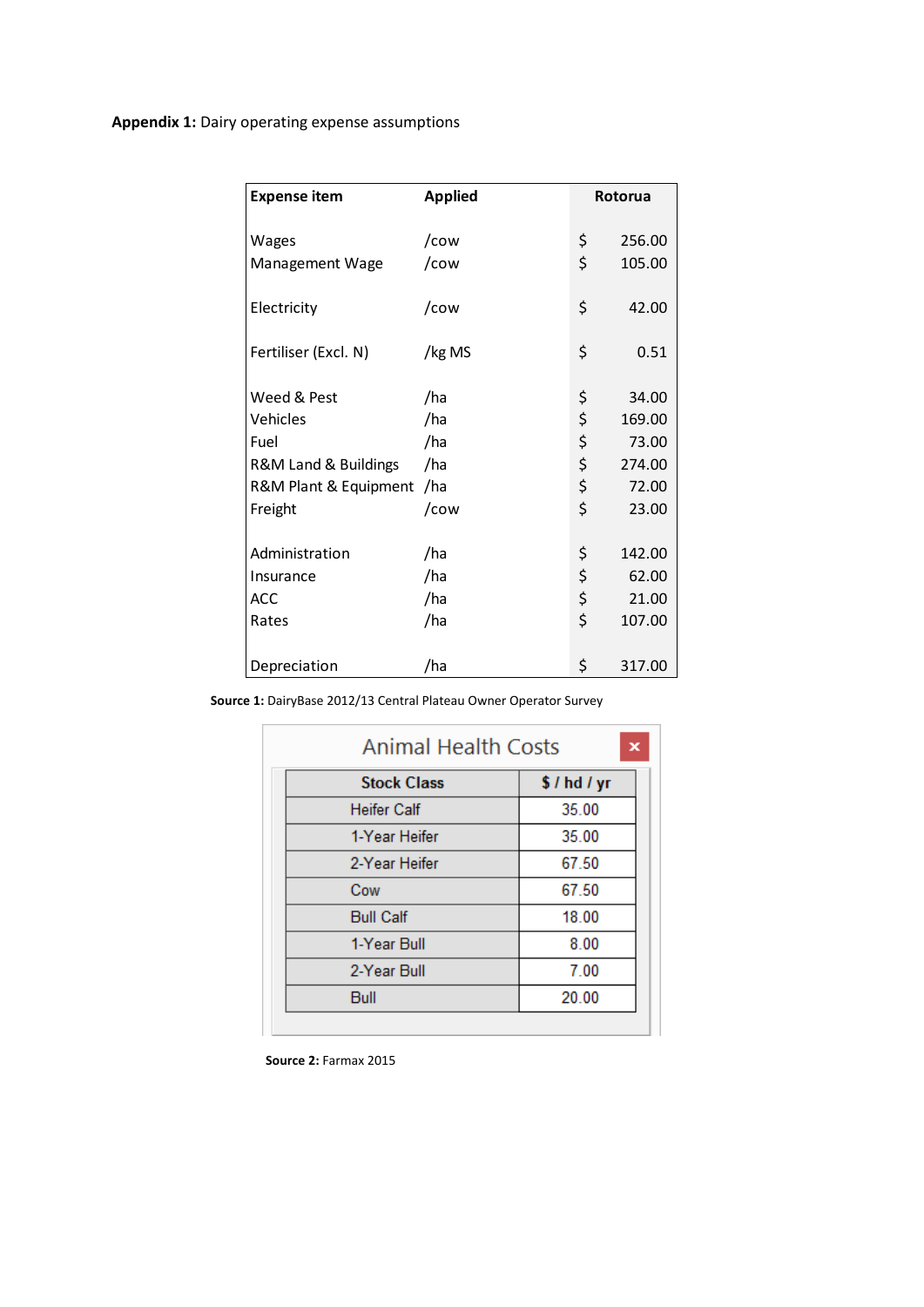| <b>Expense item</b>   | <b>Applied</b> | <b>Rotorua</b> |
|-----------------------|----------------|----------------|
| Wages                 | /cow           | \$<br>256.00   |
| Management Wage       | /cow           | \$<br>105.00   |
| Electricity           | /cow           | \$<br>42.00    |
| Fertiliser (Excl. N)  | /kg MS         | \$<br>0.51     |
| Weed & Pest           | /ha            | \$<br>34.00    |
| Vehicles              | /ha            | \$<br>169.00   |
| Fuel                  | /ha            | \$<br>73.00    |
| R&M Land & Buildings  | /ha            | \$<br>274.00   |
| R&M Plant & Equipment | /ha            | \$<br>72.00    |
| Freight               | /cow           | \$<br>23.00    |
| Administration        | /ha            | \$<br>142.00   |
| Insurance             | /ha            | \$<br>62.00    |
| ACC                   | /ha            | \$<br>21.00    |
| Rates                 | /ha            | \$<br>107.00   |
| Depreciation          | /ha            | \$<br>317.00   |

**Source 1:** DairyBase 2012/13 Central Plateau Owner Operator Survey

| <b>Animal Health Costs</b> |          |  |  |  |  |
|----------------------------|----------|--|--|--|--|
| <b>Stock Class</b>         | \$/hd/yr |  |  |  |  |
| <b>Heifer Calf</b>         | 35.00    |  |  |  |  |
| 1-Year Heifer              | 35.00    |  |  |  |  |
| 2-Year Heifer              | 67.50    |  |  |  |  |
| Cow                        | 67.50    |  |  |  |  |
| <b>Bull Calf</b>           | 18.00    |  |  |  |  |
| 1-Year Bull                | 8.00     |  |  |  |  |
| 2-Year Bull                | 7.00     |  |  |  |  |
| Bull                       | 20.00    |  |  |  |  |
|                            |          |  |  |  |  |

**Source 2:** Farmax 2015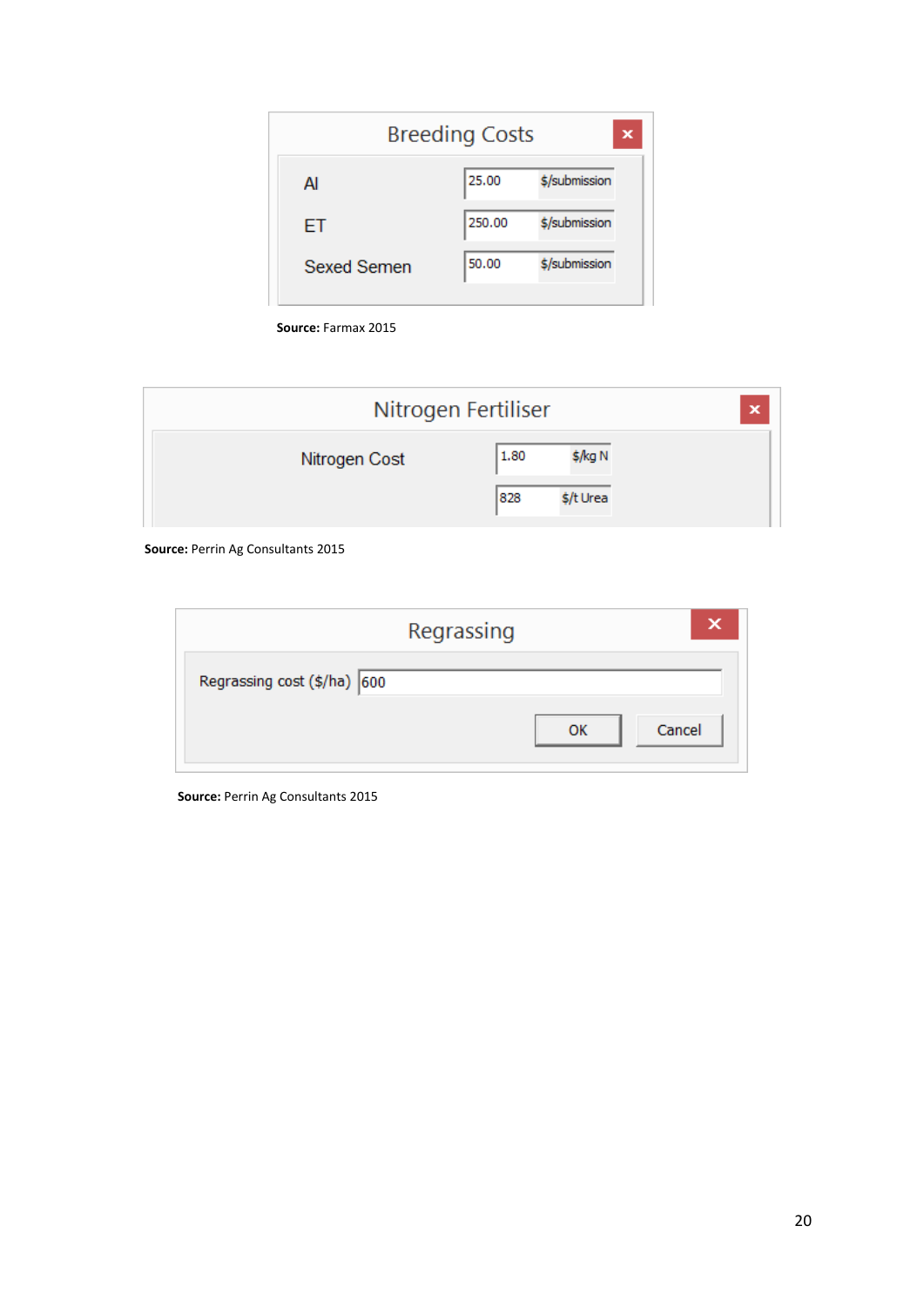| <b>Breeding Costs</b> | ×             |
|-----------------------|---------------|
| 25.00                 | \$/submission |
| 250,00                | \$/submission |
| 50.00                 | \$/submission |
|                       |               |

**Source:** Farmax 2015

| Nitrogen Fertiliser |                  | × |
|---------------------|------------------|---|
| Nitrogen Cost       | 1.80<br>\$/kg N  |   |
|                     | 828<br>\$/t Urea |   |

**Source:** Perrin Ag Consultants 2015

|                             | Regrassing |    |        |
|-----------------------------|------------|----|--------|
| Regrassing cost (\$/ha) 600 |            |    |        |
|                             |            | ок | Cancel |

**Source:** Perrin Ag Consultants 2015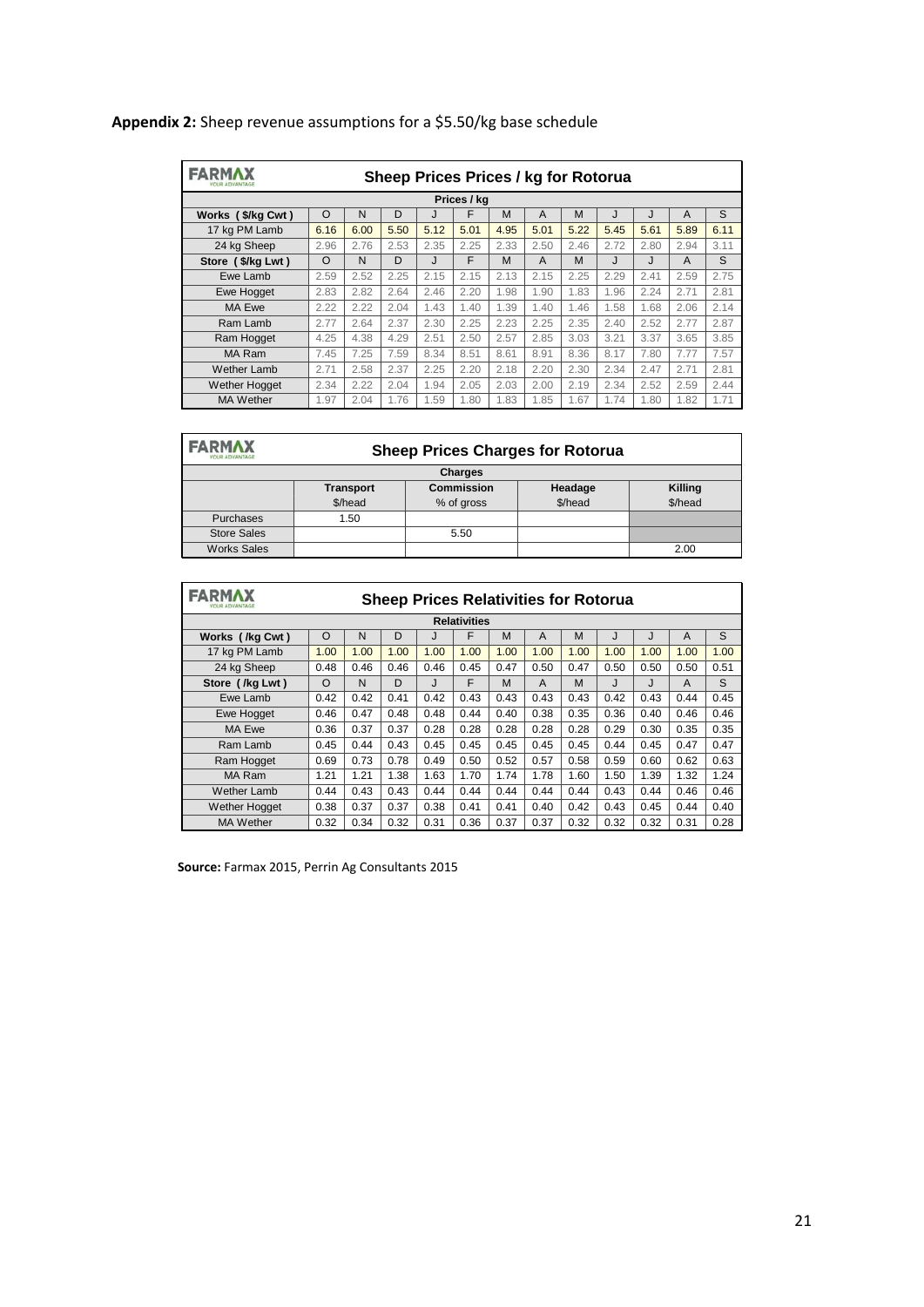# **Appendix 2:** Sheep revenue assumptions for a \$5.50/kg base schedule

| <b>FARMAX</b><br>Sheep Prices Prices / kg for Rotorua<br>YOUR ADVANTAGE |             |      |      |      |      |      |      |      |      |      |      |      |
|-------------------------------------------------------------------------|-------------|------|------|------|------|------|------|------|------|------|------|------|
|                                                                         | Prices / kg |      |      |      |      |      |      |      |      |      |      |      |
| Works (\$/kg Cwt)                                                       | $\Omega$    | N    | D    |      | F    | M    | A    | M    | J    | J    | A    | S    |
| 17 kg PM Lamb                                                           | 6.16        | 6.00 | 5.50 | 5.12 | 5.01 | 4.95 | 5.01 | 5.22 | 5.45 | 5.61 | 5.89 | 6.11 |
| 24 kg Sheep                                                             | 2.96        | 2.76 | 2.53 | 2.35 | 2.25 | 2.33 | 2.50 | 2.46 | 2.72 | 2.80 | 2.94 | 3.11 |
| Store (\$/kg Lwt)                                                       | $\Omega$    | N    | D    | J    | F    | M    | A    | M    | J    | J    | A    | S    |
| Ewe Lamb                                                                | 2.59        | 2.52 | 2.25 | 2.15 | 2.15 | 2.13 | 2.15 | 2.25 | 2.29 | 2.41 | 2.59 | 2.75 |
| <b>Ewe Hogget</b>                                                       | 2.83        | 2.82 | 2.64 | 2.46 | 2.20 | 1.98 | 1.90 | 1.83 | 1.96 | 2.24 | 2.71 | 2.81 |
| MA Ewe                                                                  | 2.22        | 2.22 | 2.04 | 1.43 | 1.40 | 1.39 | 1.40 | 1.46 | 1.58 | 1.68 | 2.06 | 2.14 |
| Ram Lamb                                                                | 2.77        | 2.64 | 2.37 | 2.30 | 2.25 | 2.23 | 2.25 | 2.35 | 2.40 | 2.52 | 2.77 | 2.87 |
| Ram Hogget                                                              | 4.25        | 4.38 | 4.29 | 2.51 | 2.50 | 2.57 | 2.85 | 3.03 | 3.21 | 3.37 | 3.65 | 3.85 |
| MA Ram                                                                  | 7.45        | 7.25 | 7.59 | 8.34 | 8.51 | 8.61 | 8.91 | 8.36 | 8.17 | 7.80 | 7.77 | 7.57 |
| Wether Lamb                                                             | 2.71        | 2.58 | 2.37 | 2.25 | 2.20 | 2.18 | 2.20 | 2.30 | 2.34 | 2.47 | 2.71 | 2.81 |
| <b>Wether Hogget</b>                                                    | 2.34        | 2.22 | 2.04 | 1.94 | 2.05 | 2.03 | 2.00 | 2.19 | 2.34 | 2.52 | 2.59 | 2.44 |
| <b>MA Wether</b>                                                        | 1.97        | 2.04 | 1.76 | 1.59 | 1.80 | 1.83 | 1.85 | 1.67 | 1.74 | 1.80 | 1.82 | 1.71 |

| <b>FARMAX</b><br>YOUR ADVANTAGE | <b>Sheep Prices Charges for Rotorua</b> |                   |         |         |  |  |  |  |  |
|---------------------------------|-----------------------------------------|-------------------|---------|---------|--|--|--|--|--|
| <b>Charges</b>                  |                                         |                   |         |         |  |  |  |  |  |
|                                 | <b>Transport</b>                        | <b>Commission</b> | Headage | Killing |  |  |  |  |  |
|                                 | \$/head                                 | % of gross        | \$/head | \$/head |  |  |  |  |  |
| Purchases                       | 1.50                                    |                   |         |         |  |  |  |  |  |
| <b>Store Sales</b>              |                                         | 5.50              |         |         |  |  |  |  |  |
| <b>Works Sales</b>              |                                         |                   |         | 2.00    |  |  |  |  |  |

| <b>FARMA</b><br><b>Sheep Prices Relativities for Rotorua</b><br><b>OUR ADVANTAGE</b> |                     |      |      |      |      |      |      |      |      |      |                |      |
|--------------------------------------------------------------------------------------|---------------------|------|------|------|------|------|------|------|------|------|----------------|------|
|                                                                                      | <b>Relativities</b> |      |      |      |      |      |      |      |      |      |                |      |
| Works (/kg Cwt)                                                                      | $\circ$             | N    | D    | J    | F    | M    | A    | M    | J    | J    | $\overline{A}$ | S    |
| 17 kg PM Lamb                                                                        | 1.00                | 1.00 | 1.00 | 1.00 | 1.00 | 1.00 | 1.00 | 1.00 | 1.00 | 1.00 | 1.00           | 1.00 |
| 24 kg Sheep                                                                          | 0.48                | 0.46 | 0.46 | 0.46 | 0.45 | 0.47 | 0.50 | 0.47 | 0.50 | 0.50 | 0.50           | 0.51 |
| Store (/kg Lwt)                                                                      | O                   | N    | D    | J    | F    | M    | A    | M    | J    | J    | A              | S    |
| Ewe Lamb                                                                             | 0.42                | 0.42 | 0.41 | 0.42 | 0.43 | 0.43 | 0.43 | 0.43 | 0.42 | 0.43 | 0.44           | 0.45 |
| Ewe Hogget                                                                           | 0.46                | 0.47 | 0.48 | 0.48 | 0.44 | 0.40 | 0.38 | 0.35 | 0.36 | 0.40 | 0.46           | 0.46 |
| MA Ewe                                                                               | 0.36                | 0.37 | 0.37 | 0.28 | 0.28 | 0.28 | 0.28 | 0.28 | 0.29 | 0.30 | 0.35           | 0.35 |
| Ram Lamb                                                                             | 0.45                | 0.44 | 0.43 | 0.45 | 0.45 | 0.45 | 0.45 | 0.45 | 0.44 | 0.45 | 0.47           | 0.47 |
| Ram Hogget                                                                           | 0.69                | 0.73 | 0.78 | 0.49 | 0.50 | 0.52 | 0.57 | 0.58 | 0.59 | 0.60 | 0.62           | 0.63 |
| MA Ram                                                                               | 1.21                | 1.21 | 1.38 | 1.63 | 1.70 | 1.74 | 1.78 | 1.60 | 1.50 | 1.39 | 1.32           | 1.24 |
| <b>Wether Lamb</b>                                                                   | 0.44                | 0.43 | 0.43 | 0.44 | 0.44 | 0.44 | 0.44 | 0.44 | 0.43 | 0.44 | 0.46           | 0.46 |
| <b>Wether Hogget</b>                                                                 | 0.38                | 0.37 | 0.37 | 0.38 | 0.41 | 0.41 | 0.40 | 0.42 | 0.43 | 0.45 | 0.44           | 0.40 |
| <b>MA Wether</b>                                                                     | 0.32                | 0.34 | 0.32 | 0.31 | 0.36 | 0.37 | 0.37 | 0.32 | 0.32 | 0.32 | 0.31           | 0.28 |

**Source:** Farmax 2015, Perrin Ag Consultants 2015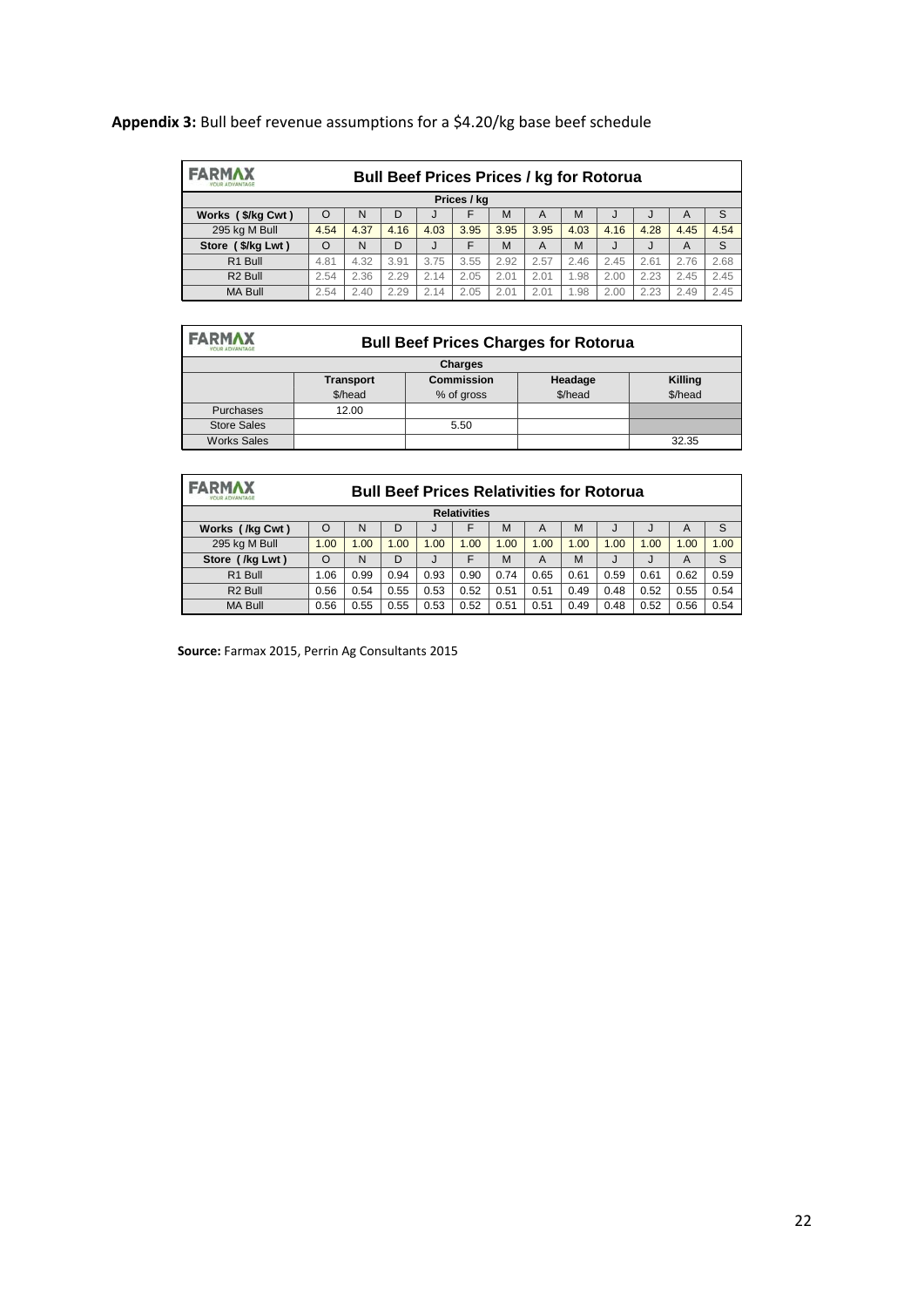| <b>FARMAX</b><br><b>YOUR ADVANTAGE</b> | <b>Bull Beef Prices Prices / kg for Rotorua</b> |      |      |      |      |      |      |      |      |      |      |      |
|----------------------------------------|-------------------------------------------------|------|------|------|------|------|------|------|------|------|------|------|
| Prices / kg                            |                                                 |      |      |      |      |      |      |      |      |      |      |      |
| Works (\$/kg Cwt)                      | $\Omega$                                        | N    | D    |      | F    | M    | A    | M    | J    | J    | А    | S    |
| 295 kg M Bull                          | 4.54                                            | 4.37 | 4.16 | 4.03 | 3.95 | 3.95 | 3.95 | 4.03 | 4.16 | 4.28 | 4.45 | 4.54 |
| Store (\$/kg Lwt)                      | $\Omega$                                        | N    | D    |      | F    | M    | A    | M    | J    | J    | A    | S    |
| R1 Bull                                | 4.81                                            | 4.32 | 3.91 | 3.75 | 3.55 | 2.92 | 2.57 | 2.46 | 2.45 | 2.61 | 2.76 | 2.68 |
| R <sub>2</sub> Bull                    | 2.54                                            | 2.36 | 2.29 | 2.14 | 2.05 | 2.01 | 2.01 | 1.98 | 2.00 | 2.23 | 2.45 | 2.45 |
| <b>MA Bull</b>                         | 2.54                                            | 2.40 | 2.29 | 2.14 | 2.05 | 2.01 | 2.01 | 1.98 | 2.00 | 2.23 | 2.49 | 2.45 |

# **Appendix 3:** Bull beef revenue assumptions for a \$4.20/kg base beef schedule

# **FARMAX**

#### **Bull Beef Prices Charges for Rotorua**

| .                  |                  |                   |         |         |  |  |  |  |  |  |
|--------------------|------------------|-------------------|---------|---------|--|--|--|--|--|--|
| <b>Charges</b>     |                  |                   |         |         |  |  |  |  |  |  |
|                    | <b>Transport</b> | <b>Commission</b> | Headage | Killing |  |  |  |  |  |  |
|                    | \$/head          | % of gross        | \$/head | \$/head |  |  |  |  |  |  |
| Purchases          | 12.00            |                   |         |         |  |  |  |  |  |  |
| <b>Store Sales</b> |                  | 5.50              |         |         |  |  |  |  |  |  |
| <b>Works Sales</b> |                  |                   |         | 32.35   |  |  |  |  |  |  |

| <b>FARMAX</b><br>YOUR ADVANTAGE |          | <b>Bull Beef Prices Relativities for Rotorua</b> |      |      |      |      |      |      |      |      |      |      |
|---------------------------------|----------|--------------------------------------------------|------|------|------|------|------|------|------|------|------|------|
| <b>Relativities</b>             |          |                                                  |      |      |      |      |      |      |      |      |      |      |
| Works (/kg Cwt)                 | $\Omega$ | N                                                | D    |      | F    | M    | A    | M    | J    | J    | A    | S    |
| 295 kg M Bull                   | 1.00     | 1.00                                             | 1.00 | 1.00 | 1.00 | 1.00 | 1.00 | 1.00 | 1.00 | 1.00 | 1.00 | 1.00 |
| Store (/kg Lwt)                 | $\Omega$ | N                                                | D    |      | F    | M    | A    | M    | J    | J    | A    | S    |
| R <sub>1</sub> Bull             | 1.06     | 0.99                                             | 0.94 | 0.93 | 0.90 | 0.74 | 0.65 | 0.61 | 0.59 | 0.61 | 0.62 | 0.59 |
| R <sub>2</sub> Bull             | 0.56     | 0.54                                             | 0.55 | 0.53 | 0.52 | 0.51 | 0.51 | 0.49 | 0.48 | 0.52 | 0.55 | 0.54 |
| <b>MA Bull</b>                  | 0.56     | 0.55                                             | 0.55 | 0.53 | 0.52 | 0.51 | 0.51 | 0.49 | 0.48 | 0.52 | 0.56 | 0.54 |

**Source:** Farmax 2015, Perrin Ag Consultants 2015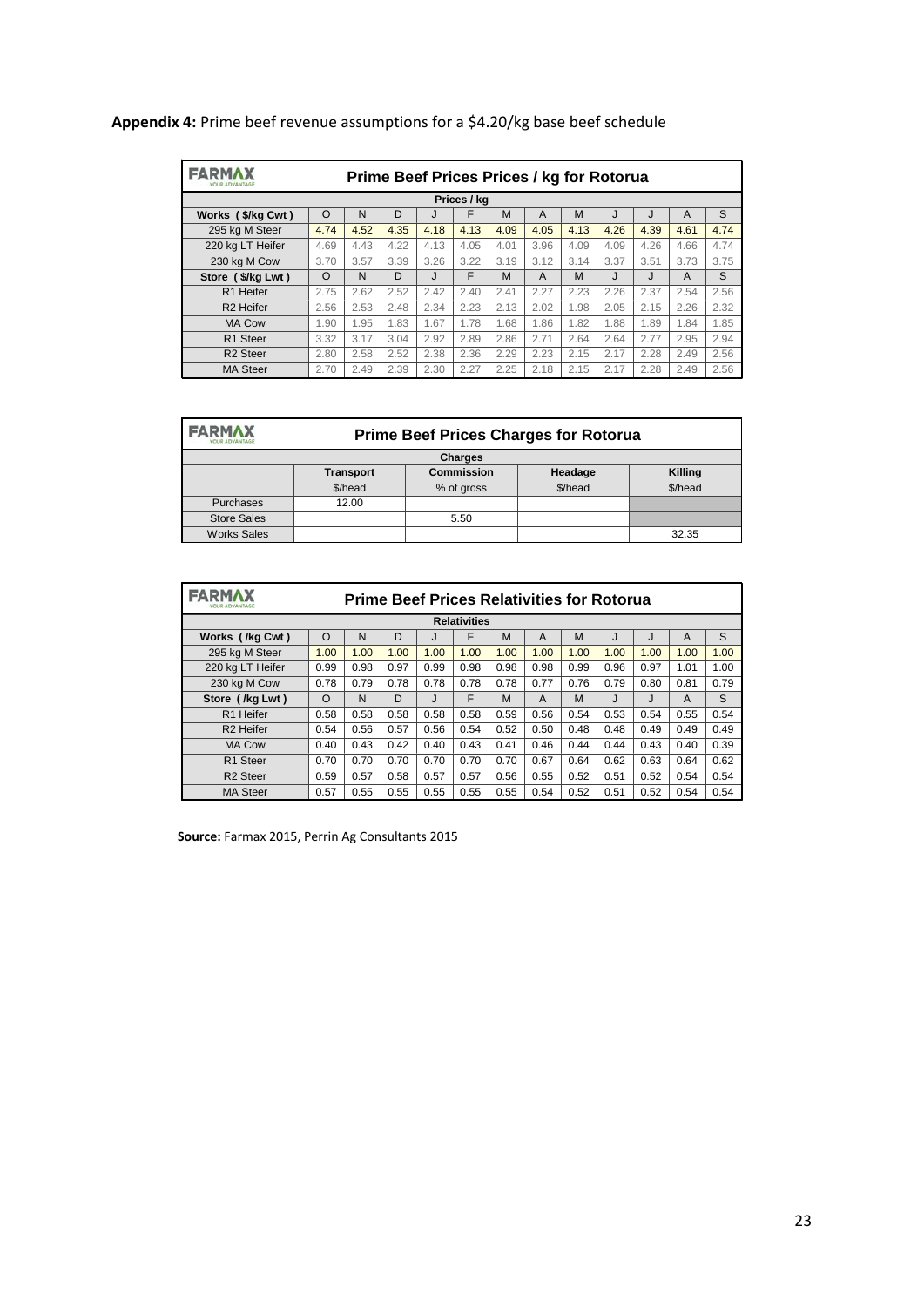| <b>FARMAX</b>         | Prime Beef Prices Prices / kg for Rotorua |      |      |      |             |      |      |      |      |      |      |      |
|-----------------------|-------------------------------------------|------|------|------|-------------|------|------|------|------|------|------|------|
|                       |                                           |      |      |      | Prices / kg |      |      |      |      |      |      |      |
| Works (\$/kg Cwt)     | $\Omega$                                  | N    | D    | J    | F           | M    | A    | M    | J    | J    | A    | S    |
| 295 kg M Steer        | 4.74                                      | 4.52 | 4.35 | 4.18 | 4.13        | 4.09 | 4.05 | 4.13 | 4.26 | 4.39 | 4.61 | 4.74 |
| 220 kg LT Heifer      | 4.69                                      | 4.43 | 4.22 | 4.13 | 4.05        | 4.01 | 3.96 | 4.09 | 4.09 | 4.26 | 4.66 | 4.74 |
| 230 kg M Cow          | 3.70                                      | 3.57 | 3.39 | 3.26 | 3.22        | 3.19 | 3.12 | 3.14 | 3.37 | 3.51 | 3.73 | 3.75 |
| Store (\$/kg Lwt)     | $\Omega$                                  | N    | D    | J    | F           | M    | A    | M    | J    | J    | A    | S    |
| R1 Heifer             | 2.75                                      | 2.62 | 2.52 | 2.42 | 2.40        | 2.41 | 2.27 | 2.23 | 2.26 | 2.37 | 2.54 | 2.56 |
| R <sub>2</sub> Heifer | 2.56                                      | 2.53 | 2.48 | 2.34 | 2.23        | 2.13 | 2.02 | 1.98 | 2.05 | 2.15 | 2.26 | 2.32 |
| <b>MA Cow</b>         | 1.90                                      | 1.95 | 1.83 | 1.67 | 1.78        | 1.68 | 1.86 | 1.82 | 1.88 | 1.89 | 1.84 | 1.85 |
| R <sub>1</sub> Steer  | 3.32                                      | 3.17 | 3.04 | 2.92 | 2.89        | 2.86 | 2.71 | 2.64 | 2.64 | 2.77 | 2.95 | 2.94 |
| R <sub>2</sub> Steer  | 2.80                                      | 2.58 | 2.52 | 2.38 | 2.36        | 2.29 | 2.23 | 2.15 | 2.17 | 2.28 | 2.49 | 2.56 |
| <b>MA Steer</b>       | 2.70                                      | 2.49 | 2.39 | 2.30 | 2.27        | 2.25 | 2.18 | 2.15 | 2.17 | 2.28 | 2.49 | 2.56 |

# **Appendix 4:** Prime beef revenue assumptions for a \$4.20/kg base beef schedule

| FARMAX<br>YOUR ADVANTAGE | <b>Prime Beef Prices Charges for Rotorua</b> |                   |         |         |  |  |  |  |  |
|--------------------------|----------------------------------------------|-------------------|---------|---------|--|--|--|--|--|
| <b>Charges</b>           |                                              |                   |         |         |  |  |  |  |  |
|                          | <b>Transport</b>                             | <b>Commission</b> | Headage | Killing |  |  |  |  |  |
|                          | \$/head                                      | % of gross        | \$/head | \$/head |  |  |  |  |  |
| Purchases                | 12.00                                        |                   |         |         |  |  |  |  |  |
| <b>Store Sales</b>       |                                              | 5.50              |         |         |  |  |  |  |  |
| <b>Works Sales</b>       |                                              |                   |         | 32.35   |  |  |  |  |  |

| <b>FARMAX</b><br><b>Prime Beef Prices Relativities for Rotorua</b> |          |      |      |      |                     |      |      |      |      |      |      |      |
|--------------------------------------------------------------------|----------|------|------|------|---------------------|------|------|------|------|------|------|------|
|                                                                    |          |      |      |      | <b>Relativities</b> |      |      |      |      |      |      |      |
| Works (/kg Cwt)                                                    | $\circ$  | N    | D    |      | F                   | M    | A    | M    | J    | J    | A    | S    |
| 295 kg M Steer                                                     | 1.00     | 1.00 | 1.00 | 1.00 | 1.00                | 1.00 | 1.00 | 1.00 | 1.00 | 1.00 | 1.00 | 1.00 |
| 220 kg LT Heifer                                                   | 0.99     | 0.98 | 0.97 | 0.99 | 0.98                | 0.98 | 0.98 | 0.99 | 0.96 | 0.97 | 1.01 | 1.00 |
| 230 kg M Cow                                                       | 0.78     | 0.79 | 0.78 | 0.78 | 0.78                | 0.78 | 0.77 | 0.76 | 0.79 | 0.80 | 0.81 | 0.79 |
| Store (/kg Lwt)                                                    | $\Omega$ | N    | D    | J    | F                   | M    | A    | M    | J    | J    | A    | S    |
| R1 Heifer                                                          | 0.58     | 0.58 | 0.58 | 0.58 | 0.58                | 0.59 | 0.56 | 0.54 | 0.53 | 0.54 | 0.55 | 0.54 |
| R <sub>2</sub> Heifer                                              | 0.54     | 0.56 | 0.57 | 0.56 | 0.54                | 0.52 | 0.50 | 0.48 | 0.48 | 0.49 | 0.49 | 0.49 |
| <b>MA Cow</b>                                                      | 0.40     | 0.43 | 0.42 | 0.40 | 0.43                | 0.41 | 0.46 | 0.44 | 0.44 | 0.43 | 0.40 | 0.39 |
| R <sub>1</sub> Steer                                               | 0.70     | 0.70 | 0.70 | 0.70 | 0.70                | 0.70 | 0.67 | 0.64 | 0.62 | 0.63 | 0.64 | 0.62 |
| R <sub>2</sub> Steer                                               | 0.59     | 0.57 | 0.58 | 0.57 | 0.57                | 0.56 | 0.55 | 0.52 | 0.51 | 0.52 | 0.54 | 0.54 |
| <b>MA Steer</b>                                                    | 0.57     | 0.55 | 0.55 | 0.55 | 0.55                | 0.55 | 0.54 | 0.52 | 0.51 | 0.52 | 0.54 | 0.54 |

**Source:** Farmax 2015, Perrin Ag Consultants 2015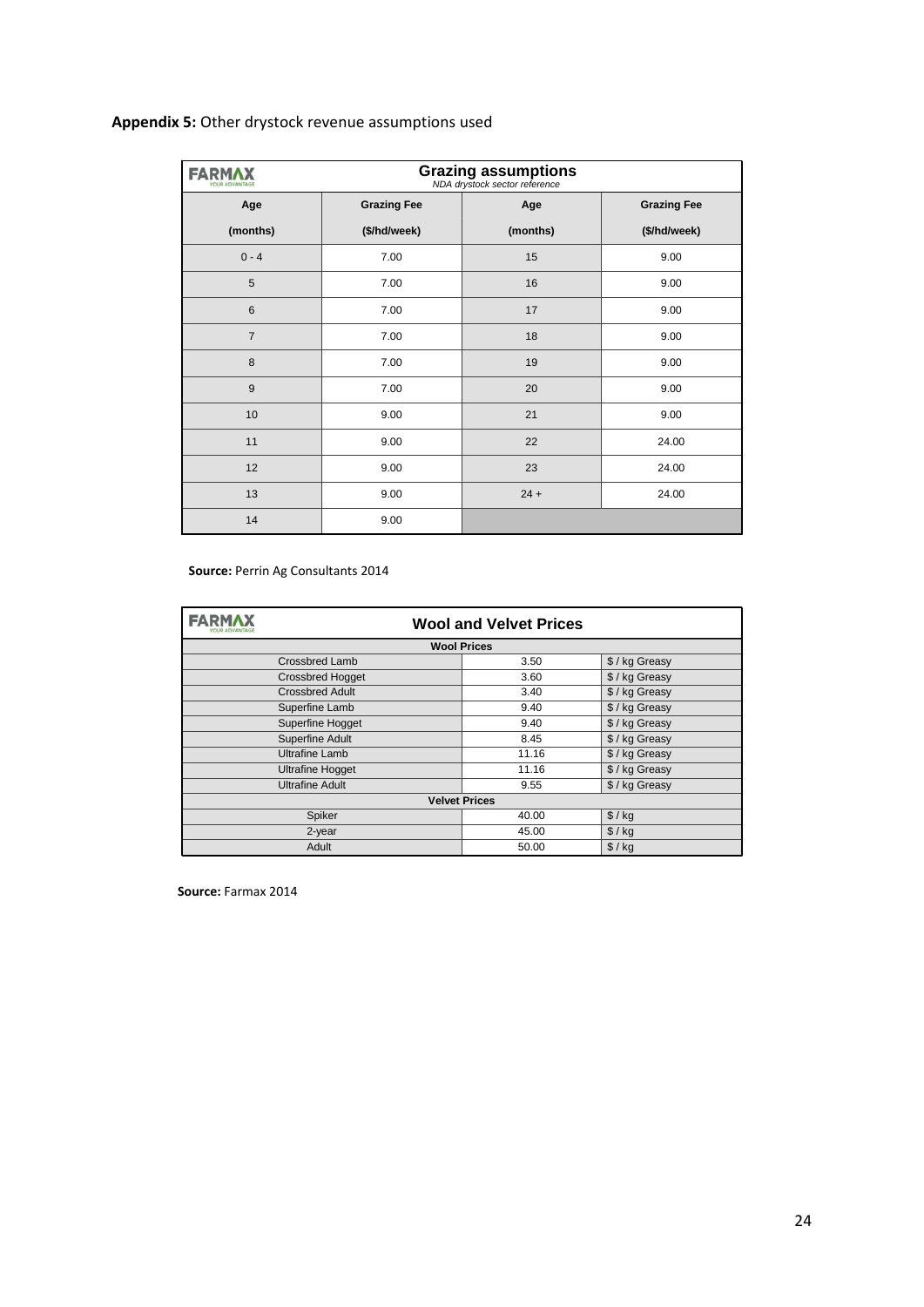# **Appendix 5:** Other drystock revenue assumptions used

| FARI           |                    | <b>Grazing assumptions</b><br>NDA drystock sector reference |                    |
|----------------|--------------------|-------------------------------------------------------------|--------------------|
| Age            | <b>Grazing Fee</b> | Age                                                         | <b>Grazing Fee</b> |
| (months)       | (\$/hd/week)       | (months)                                                    | (\$/hd/week)       |
| $0 - 4$        | 7.00               | 15                                                          | 9.00               |
| 5              | 7.00               | 16                                                          | 9.00               |
| 6              | 7.00               | 17                                                          | 9.00               |
| $\overline{7}$ | 7.00               | 18                                                          | 9.00               |
| 8              | 7.00               | 19                                                          | 9.00               |
| 9              | 7.00               | 20                                                          | 9.00               |
| 10             | 9.00               | 21                                                          | 9.00               |
| 11             | 9.00               | 22                                                          | 24.00              |
| 12             | 9.00               | 23                                                          | 24.00              |
| 13             | 9.00               | $24 +$                                                      | 24.00              |
| 14             | 9.00               |                                                             |                    |

#### **Source:** Perrin Ag Consultants 2014

| FARM/                      | <b>Wool and Velvet Prices</b> |              |  |  |  |  |  |  |  |
|----------------------------|-------------------------------|--------------|--|--|--|--|--|--|--|
|                            | <b>Wool Prices</b>            |              |  |  |  |  |  |  |  |
| <b>Crossbred Lamb</b>      | 3.50                          | \$/kg Greasy |  |  |  |  |  |  |  |
| <b>Crossbred Hogget</b>    | 3.60                          | \$/kg Greasy |  |  |  |  |  |  |  |
| <b>Crossbred Adult</b>     | 3.40                          | \$/kg Greasy |  |  |  |  |  |  |  |
| Superfine Lamb             | 9.40                          | \$/kg Greasy |  |  |  |  |  |  |  |
| Superfine Hogget           | 9.40                          | \$/kg Greasy |  |  |  |  |  |  |  |
| Superfine Adult            | 8.45                          | \$/kg Greasy |  |  |  |  |  |  |  |
| <b>Ultrafine Lamb</b>      | 11.16                         | \$/kg Greasy |  |  |  |  |  |  |  |
| <b>Ultrafine Hogget</b>    | 11.16                         | \$/kg Greasy |  |  |  |  |  |  |  |
| <b>Ultrafine Adult</b>     | 9.55                          | \$/kg Greasy |  |  |  |  |  |  |  |
|                            | <b>Velvet Prices</b>          |              |  |  |  |  |  |  |  |
| \$ / kg<br>Spiker<br>40.00 |                               |              |  |  |  |  |  |  |  |
| 2-year                     | 45.00                         | $$/$ kg      |  |  |  |  |  |  |  |
| Adult                      | 50.00                         | $$/$ kg      |  |  |  |  |  |  |  |

**Source:** Farmax 2014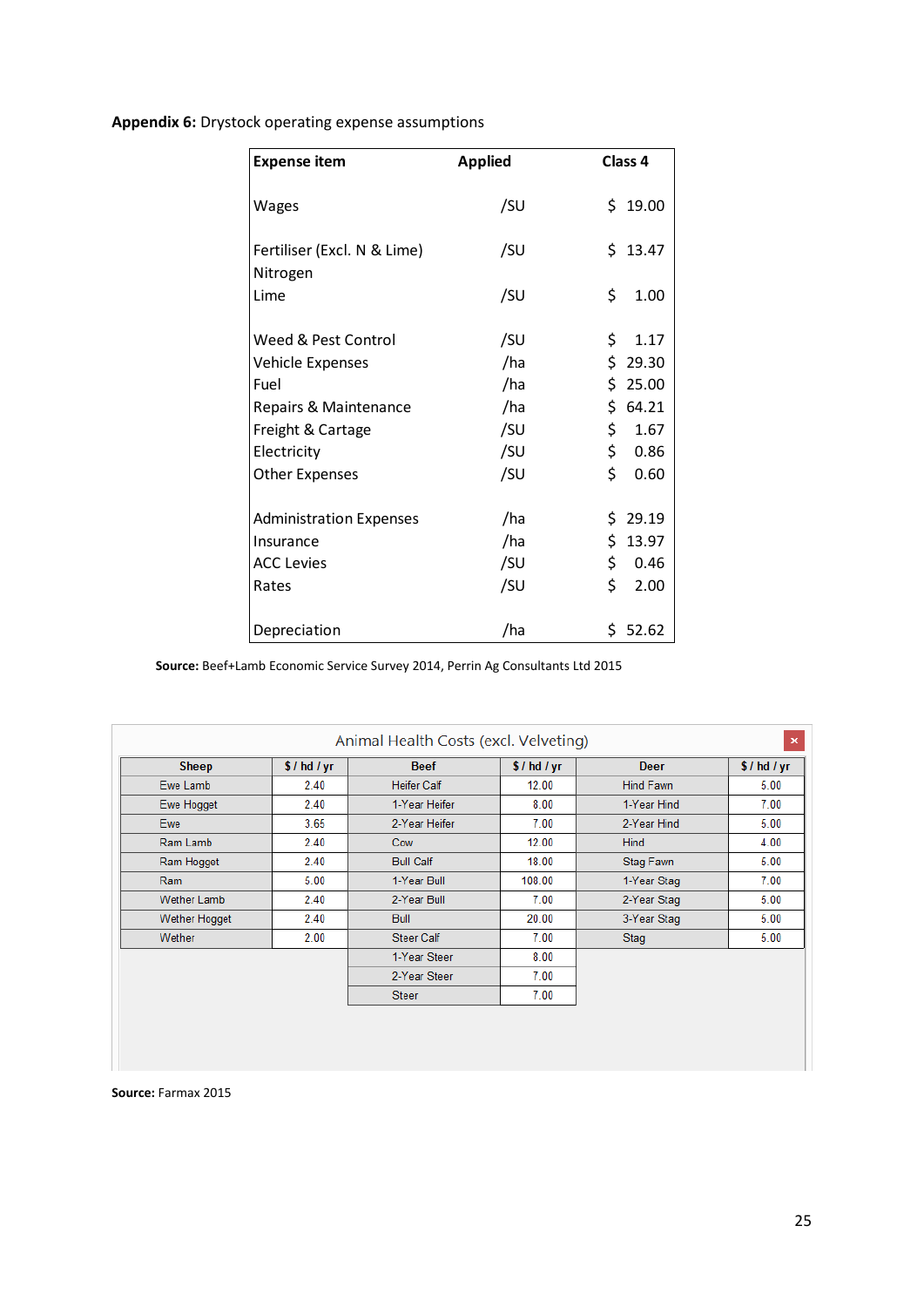**Appendix 6:** Drystock operating expense assumptions

| <b>Expense item</b>                     | <b>Applied</b> | Class 4     |
|-----------------------------------------|----------------|-------------|
| <b>Wages</b>                            | /SU            | \$19.00     |
| Fertiliser (Excl. N & Lime)<br>Nitrogen | /SU            | \$13.47     |
| Lime                                    | /SU            | \$<br>1.00  |
| Weed & Pest Control                     | /SU            | \$<br>1.17  |
| Vehicle Expenses                        | /ha            | \$<br>29.30 |
| Fuel                                    | /ha            | \$25.00     |
| Repairs & Maintenance                   | /ha            | \$<br>64.21 |
| Freight & Cartage                       | /SU            | \$<br>1.67  |
| Electricity                             | /SU            | \$<br>0.86  |
| <b>Other Expenses</b>                   | /SU            | \$<br>0.60  |
| <b>Administration Expenses</b>          | /ha            | \$29.19     |
| Insurance                               | /ha            | \$<br>13.97 |
| <b>ACC Levies</b>                       | /SU            | \$<br>0.46  |
| Rates                                   | /SU            | \$<br>2.00  |
| Depreciation                            | /ha            | \$52.62     |

**Source:** Beef+Lamb Economic Service Survey 2014, Perrin Ag Consultants Ltd 2015

| Sheep              | \$/hd/yr | <b>Beef</b>        | \$/hd/yr | <b>Deer</b> | \$/hd/yr |
|--------------------|----------|--------------------|----------|-------------|----------|
| Ewe Lamb           | 2.40     | <b>Heifer Calf</b> | 12.00    | Hind Fawn   | 5.00     |
| Ewe Hogget         | 2.40     | 1-Year Heifer      | 8.00     | 1-Year Hind | 7.00     |
| <b>Ewe</b>         | 3.65     | 2-Year Heifer      | 7.00     | 2-Year Hind | 5.00     |
| Ram Lamb           | 2.40     | Cow                | 12.00    | <b>Hind</b> | 4.00     |
| Ram Hogget         | 2.40     | <b>Bull Calf</b>   | 18.00    | Stag Fawn   | 5.00     |
| <b>Ram</b>         | 5.00     | 1-Year Bull        | 108.00   | 1-Year Stag | 7.00     |
| <b>Wether Lamb</b> | 2.40     | 2-Year Bull        | 7.00     | 2-Year Stag | 5.00     |
| Wether Hogget      | 2.40     | <b>Bull</b>        | 20.00    | 3-Year Stag | 5.00     |
| Wether             | 2.00     | <b>Steer Calf</b>  | 7.00     | Stag        | 5.00     |
|                    |          | 1-Year Steer       | 8.00     |             |          |
|                    |          | 2-Year Steer       | 7.00     |             |          |
|                    |          | <b>Steer</b>       | 7.00     |             |          |

**Source:** Farmax 2015